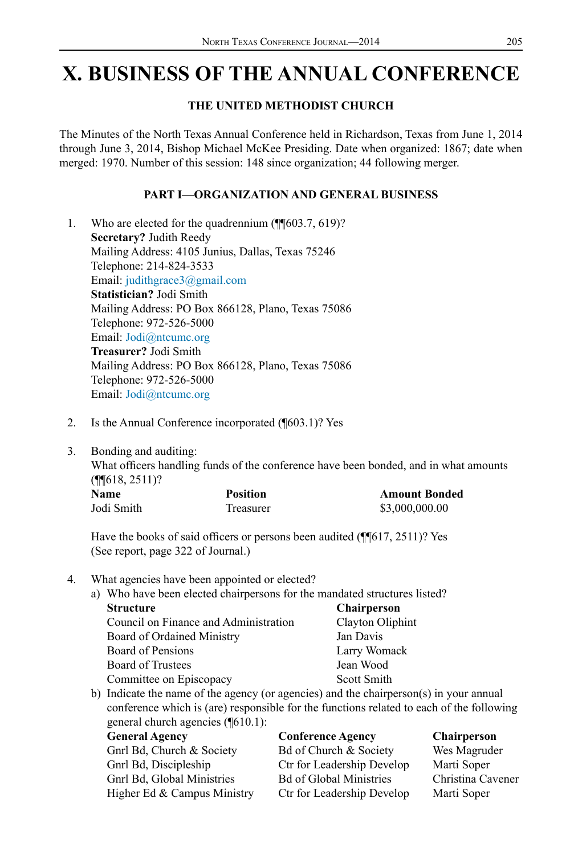# **X. BUSINESS OF THE ANNUAL CONFERENCE**

# **THE UNITED METHODIST CHURCH**

The Minutes of the North Texas Annual Conference held in Richardson, Texas from June 1, 2014 through June 3, 2014, Bishop Michael McKee Presiding. Date when organized: 1867; date when merged: 1970. Number of this session: 148 since organization; 44 following merger.

# **PART I—ORGANIZATION AND GENERAL BUSINESS**

- 1. Who are elected for the quadrennium (¶¶603.7, 619)? **Secretary?** Judith Reedy Mailing Address: 4105 Junius, Dallas, Texas 75246 Telephone: 214-824-3533 Email: judithgrace3@gmail.com **Statistician?** Jodi Smith Mailing Address: PO Box 866128, Plano, Texas 75086 Telephone: 972-526-5000 Email: Jodi@ntcumc.org **Treasurer?** Jodi Smith Mailing Address: PO Box 866128, Plano, Texas 75086 Telephone: 972-526-5000 Email: Jodi@ntcumc.org
- 2. Is the Annual Conference incorporated (¶603.1)? Yes
- 3. Bonding and auditing:

What officers handling funds of the conference have been bonded, and in what amounts (¶¶618, 2511)?

| <b>Name</b> | <b>Position</b> | <b>Amount Bonded</b> |
|-------------|-----------------|----------------------|
| Jodi Smith  | Treasurer       | \$3,000,000.00       |

Have the books of said officers or persons been audited (¶[617, 2511)? Yes (See report, page 322 of Journal.)

## 4. What agencies have been appointed or elected?

a) Who have been elected chairpersons for the mandated structures listed? **Structure Chairperson** Council on Finance and Administration Clayton Oliphint Board of Ordained Ministry Jan Davis Board of Pensions Larry Womack Board of Trustees Jean Wood

- Committee on Episcopacy Scott Smith
- b) Indicate the name of the agency (or agencies) and the chairperson(s) in your annual conference which is (are) responsible for the functions related to each of the following general church agencies (¶610.1):

| <b>General Agency</b>       | <b>Conference Agency</b>       | <b>Chairperson</b> |
|-----------------------------|--------------------------------|--------------------|
| Gnrl Bd, Church & Society   | Bd of Church & Society         | Wes Magruder       |
| Gnrl Bd, Discipleship       | Ctr for Leadership Develop     | Marti Soper        |
| Gnrl Bd, Global Ministries  | <b>Bd of Global Ministries</b> | Christina Cavener  |
| Higher Ed & Campus Ministry | Ctr for Leadership Develop     | Marti Soper        |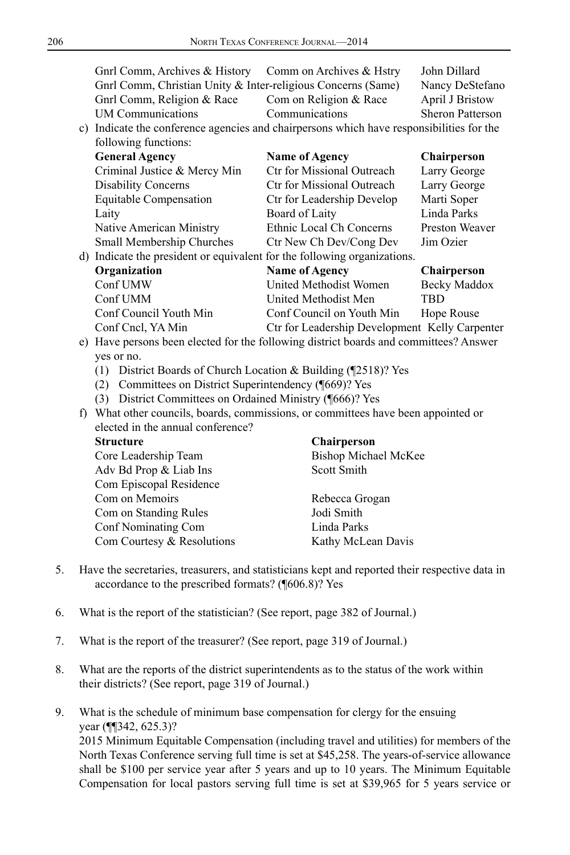| Gnrl Comm, Archives & History                                                            | Comm on Archives & Hstry   | John Dillard            |
|------------------------------------------------------------------------------------------|----------------------------|-------------------------|
| Gnrl Comm, Christian Unity & Inter-religious Concerns (Same)                             |                            | Nancy DeStefano         |
| Gnrl Comm, Religion & Race                                                               | Com on Religion & Race     | <b>April J Bristow</b>  |
| <b>UM Communications</b>                                                                 | Communications             | <b>Sheron Patterson</b> |
| c) Indicate the conference agencies and chairpersons which have responsibilities for the |                            |                         |
| following functions:                                                                     |                            |                         |
| <b>General Agency</b>                                                                    | <b>Name of Agency</b>      | <b>Chairperson</b>      |
| Criminal Justice & Mercy Min                                                             | Ctr for Missional Outreach | Larry George            |
| <b>Disability Concerns</b>                                                               | Ctr for Missional Outreach | Larry George            |
| Equitable Compensation                                                                   | Ctr for Leadership Develop | Marti Soper             |
| Laity                                                                                    | Board of Laity             | Linda Parks             |
| Native American Ministry                                                                 | Ethnic Local Ch Concerns   | Preston Weaver          |
| Small Membership Churches                                                                | Ctr New Ch Dev/Cong Dev    | Jim Ozier               |
| d) Indicate the president or equivalent for the following organizations.                 |                            |                         |
| Organization                                                                             | <b>Name of Agency</b>      | <b>Chairperson</b>      |
| Conf UMW                                                                                 | United Methodist Women     | Becky Maddox            |
| Conf UMM                                                                                 | United Methodist Men       | TBD                     |

Conf Cncl, YA Min Ctr for Leadership Development Kelly Carpenter e) Have persons been elected for the following district boards and committees? Answer yes or no.

Conf Council Youth Min Conf Council on Youth Min Hope Rouse

- (1) District Boards of Church Location & Building (¶2518)? Yes
- (2) Committees on District Superintendency (¶669)? Yes
- (3) District Committees on Ordained Ministry (¶666)? Yes
- f) What other councils, boards, commissions, or committees have been appointed or elected in the annual conference?

| Core Leadership Team       | <b>Bishop Michael McKee</b> |  |
|----------------------------|-----------------------------|--|
| Adv Bd Prop & Liab Ins     | Scott Smith                 |  |
| Com Episcopal Residence    |                             |  |
| Com on Memoirs             | Rebecca Grogan              |  |
| Com on Standing Rules      | Jodi Smith                  |  |
| Conf Nominating Com        | Linda Parks                 |  |
| Com Courtesy & Resolutions | Kathy McLean Davis          |  |
|                            |                             |  |

#### **Structure Chairperson**

**Scott Smith** 

- 
- 5. Have the secretaries, treasurers, and statisticians kept and reported their respective data in accordance to the prescribed formats? (¶606.8)? Yes
- 6. What is the report of the statistician? (See report, page 382 of Journal.)
- 7. What is the report of the treasurer? (See report, page 319 of Journal.)
- 8. What are the reports of the district superintendents as to the status of the work within their districts? (See report, page 319 of Journal.)
- 9. What is the schedule of minimum base compensation for clergy for the ensuing year (¶¶342, 625.3)? 2015 Minimum Equitable Compensation (including travel and utilities) for members of the North Texas Conference serving full time is set at \$45,258. The years-of-service allowance shall be \$100 per service year after 5 years and up to 10 years. The Minimum Equitable Compensation for local pastors serving full time is set at \$39,965 for 5 years service or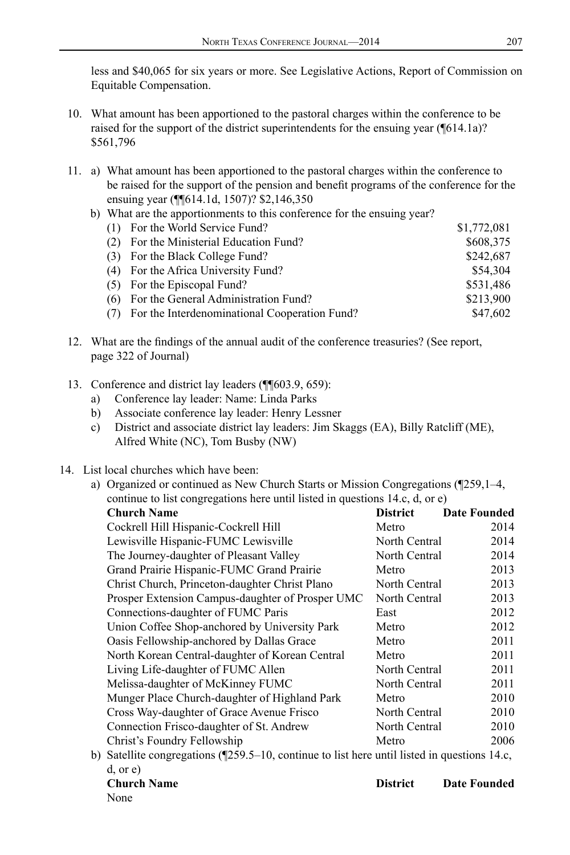less and \$40,065 for six years or more. See Legislative Actions, Report of Commission on Equitable Compensation.

- 10. What amount has been apportioned to the pastoral charges within the conference to be raised for the support of the district superintendents for the ensuing year (¶614.1a)? \$561,796
- 11. a) What amount has been apportioned to the pastoral charges within the conference to be raised for the support of the pension and benefit programs of the conference for the ensuing year (¶¶614.1d, 1507)? \$2,146,350
	- b) What are the apportionments to this conference for the ensuing year?

| (1) For the World Service Fund?                   | \$1,772,081 |
|---------------------------------------------------|-------------|
| (2) For the Ministerial Education Fund?           | \$608,375   |
| (3) For the Black College Fund?                   | \$242,687   |
| (4) For the Africa University Fund?               | \$54.304    |
| (5) For the Episcopal Fund?                       | \$531.486   |
| (6) For the General Administration Fund?          | \$213,900   |
| (7) For the Interdenominational Cooperation Fund? | \$47.602    |

- 12. What are the findings of the annual audit of the conference treasuries? (See report, page 322 of Journal)
- 13. Conference and district lay leaders (¶¶603.9, 659):
	- a) Conference lay leader: Name: Linda Parks
	- b) Associate conference lay leader: Henry Lessner
	- c) District and associate district lay leaders: Jim Skaggs (EA), Billy Ratcliff (ME), Alfred White (NC), Tom Busby (NW)
- 14. List local churches which have been:
	- a) Organized or continued as New Church Starts or Mission Congregations (¶259,1–4, continue to list congregations here until listed in questions 14.c, d, or e)

| <b>Church Name</b>                                                                                 | <b>District</b> | <b>Date Founded</b> |  |
|----------------------------------------------------------------------------------------------------|-----------------|---------------------|--|
| Cockrell Hill Hispanic-Cockrell Hill                                                               | Metro           | 2014                |  |
| Lewisville Hispanic-FUMC Lewisville                                                                | North Central   | 2014                |  |
| The Journey-daughter of Pleasant Valley                                                            | North Central   | 2014                |  |
| Grand Prairie Hispanic-FUMC Grand Prairie                                                          | Metro           | 2013                |  |
| Christ Church, Princeton-daughter Christ Plano                                                     | North Central   | 2013                |  |
| Prosper Extension Campus-daughter of Prosper UMC                                                   | North Central   | 2013                |  |
| Connections-daughter of FUMC Paris                                                                 | East            | 2012                |  |
| Union Coffee Shop-anchored by University Park                                                      | Metro           | 2012                |  |
| Oasis Fellowship-anchored by Dallas Grace                                                          | Metro           | 2011                |  |
| North Korean Central-daughter of Korean Central                                                    | Metro           | 2011                |  |
| Living Life-daughter of FUMC Allen                                                                 | North Central   | 2011                |  |
| Melissa-daughter of McKinney FUMC                                                                  | North Central   | 2011                |  |
| Munger Place Church-daughter of Highland Park                                                      | Metro           | 2010                |  |
| Cross Way-daughter of Grace Avenue Frisco                                                          | North Central   | 2010                |  |
| Connection Frisco-daughter of St. Andrew                                                           | North Central   | 2010                |  |
| Christ's Foundry Fellowship                                                                        | Metro           | 2006                |  |
| $\Omega$ Setellite congressions (F250.5, 10, continue to list here until listed in questions 14.0) |                 |                     |  |

b) Satellite congregations (¶259.5–10, continue to list here until listed in questions 14.c, d, or e)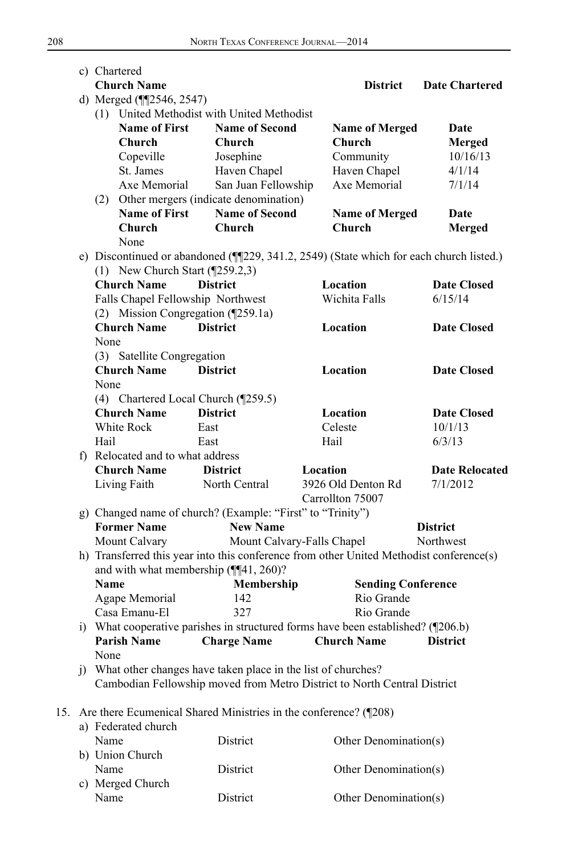|     |  | c) Chartered                                                                      |                                                                  |                                                                                         |                       |  |  |
|-----|--|-----------------------------------------------------------------------------------|------------------------------------------------------------------|-----------------------------------------------------------------------------------------|-----------------------|--|--|
|     |  | <b>Church Name</b>                                                                |                                                                  | <b>District</b>                                                                         | <b>Date Chartered</b> |  |  |
|     |  | d) Merged (¶12546, 2547)                                                          |                                                                  |                                                                                         |                       |  |  |
|     |  |                                                                                   | (1) United Methodist with United Methodist                       |                                                                                         |                       |  |  |
|     |  | <b>Name of First</b>                                                              | <b>Name of Second</b>                                            | <b>Name of Merged</b>                                                                   | Date                  |  |  |
|     |  | Church                                                                            | Church                                                           | Church                                                                                  | Merged                |  |  |
|     |  | Copeville                                                                         | Josephine                                                        | Community                                                                               | 10/16/13              |  |  |
|     |  | St. James                                                                         | Haven Chapel                                                     | Haven Chapel                                                                            | 4/1/14                |  |  |
|     |  | Axe Memorial                                                                      | San Juan Fellowship                                              | Axe Memorial                                                                            | 7/1/14                |  |  |
|     |  |                                                                                   | (2) Other mergers (indicate denomination)                        |                                                                                         |                       |  |  |
|     |  | <b>Name of First</b>                                                              | <b>Name of Second</b>                                            | <b>Name of Merged</b>                                                                   | Date                  |  |  |
|     |  | Church                                                                            | Church                                                           | <b>Church</b>                                                                           | <b>Merged</b>         |  |  |
|     |  | None                                                                              |                                                                  |                                                                                         |                       |  |  |
|     |  |                                                                                   |                                                                  | e) Discontinued or abandoned (¶229, 341.2, 2549) (State which for each church listed.)  |                       |  |  |
|     |  | (1) New Church Start $(\sqrt{259.2,3})$                                           |                                                                  |                                                                                         |                       |  |  |
|     |  | <b>Church Name</b>                                                                | <b>District</b>                                                  | Location                                                                                | <b>Date Closed</b>    |  |  |
|     |  | Falls Chapel Fellowship Northwest                                                 |                                                                  | Wichita Falls                                                                           | 6/15/14               |  |  |
|     |  | (2) Mission Congregation (¶259.1a)                                                |                                                                  |                                                                                         |                       |  |  |
|     |  | <b>Church Name</b>                                                                | <b>District</b>                                                  | Location                                                                                | <b>Date Closed</b>    |  |  |
|     |  | None                                                                              |                                                                  |                                                                                         |                       |  |  |
|     |  | (3) Satellite Congregation                                                        |                                                                  |                                                                                         |                       |  |  |
|     |  | <b>Church Name</b>                                                                | <b>District</b>                                                  | <b>Location</b>                                                                         | <b>Date Closed</b>    |  |  |
|     |  | None                                                                              |                                                                  |                                                                                         |                       |  |  |
|     |  | (4) Chartered Local Church (¶259.5)                                               |                                                                  |                                                                                         |                       |  |  |
|     |  | <b>Church Name</b>                                                                | <b>District</b>                                                  | Location                                                                                | <b>Date Closed</b>    |  |  |
|     |  | White Rock                                                                        | East                                                             | Celeste                                                                                 | 10/1/13               |  |  |
|     |  | Hail                                                                              | East                                                             | Hail                                                                                    | 6/3/13                |  |  |
|     |  | f) Relocated and to what address                                                  |                                                                  |                                                                                         |                       |  |  |
|     |  | <b>Church Name</b>                                                                | <b>District</b>                                                  | Location                                                                                | <b>Date Relocated</b> |  |  |
|     |  | Living Faith                                                                      | North Central                                                    | 3926 Old Denton Rd                                                                      | 7/1/2012              |  |  |
|     |  |                                                                                   |                                                                  | Carrollton 75007                                                                        |                       |  |  |
|     |  |                                                                                   | g) Changed name of church? (Example: "First" to "Trinity")       |                                                                                         |                       |  |  |
|     |  | <b>Former Name</b>                                                                | <b>New Name</b>                                                  |                                                                                         | <b>District</b>       |  |  |
|     |  | Mount Calvary                                                                     | Mount Calvary-Falls Chapel                                       |                                                                                         | Northwest             |  |  |
|     |  |                                                                                   |                                                                  | h) Transferred this year into this conference from other United Methodist conference(s) |                       |  |  |
|     |  |                                                                                   | and with what membership (¶[41, 260)?                            |                                                                                         |                       |  |  |
|     |  | <b>Name</b>                                                                       | Membership                                                       | <b>Sending Conference</b>                                                               |                       |  |  |
|     |  | Agape Memorial                                                                    | 142                                                              | Rio Grande                                                                              |                       |  |  |
|     |  | Casa Emanu-El                                                                     | 327                                                              | Rio Grande                                                                              |                       |  |  |
|     |  | i) What cooperative parishes in structured forms have been established? (¶206.b)  |                                                                  |                                                                                         |                       |  |  |
|     |  | <b>Charge Name</b><br><b>Parish Name</b><br><b>Church Name</b><br><b>District</b> |                                                                  |                                                                                         |                       |  |  |
|     |  | None                                                                              |                                                                  |                                                                                         |                       |  |  |
|     |  |                                                                                   | j) What other changes have taken place in the list of churches?  |                                                                                         |                       |  |  |
|     |  |                                                                                   |                                                                  | Cambodian Fellowship moved from Metro District to North Central District                |                       |  |  |
|     |  |                                                                                   |                                                                  |                                                                                         |                       |  |  |
| 15. |  |                                                                                   | Are there Ecumenical Shared Ministries in the conference? (¶208) |                                                                                         |                       |  |  |
|     |  | a) Federated church                                                               |                                                                  |                                                                                         |                       |  |  |
|     |  | Name                                                                              | District                                                         | Other Denomination(s)                                                                   |                       |  |  |
|     |  | b) Union Church                                                                   |                                                                  |                                                                                         |                       |  |  |
|     |  | Name                                                                              | District                                                         | Other Denomination(s)                                                                   |                       |  |  |
|     |  |                                                                                   |                                                                  |                                                                                         |                       |  |  |

District Other Denomination(s)

c) Merged Church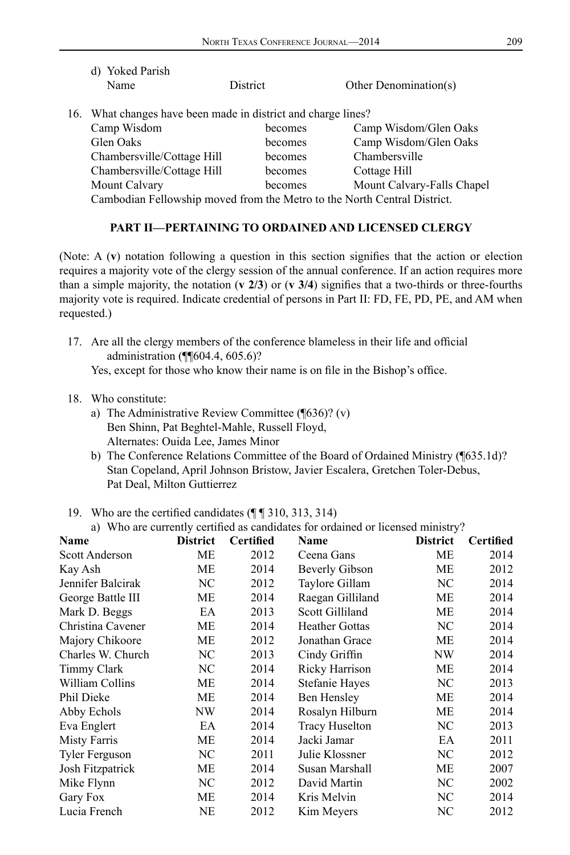| d) Yoked Parish                                                          |          |                            |
|--------------------------------------------------------------------------|----------|----------------------------|
| Name                                                                     | District | Other Denomination(s)      |
| 16. What changes have been made in district and charge lines?            |          |                            |
| Camp Wisdom                                                              | becomes  | Camp Wisdom/Glen Oaks      |
| Glen Oaks                                                                | becomes  | Camp Wisdom/Glen Oaks      |
| Chambersville/Cottage Hill                                               | becomes  | Chambersville              |
| Chambersville/Cottage Hill                                               | becomes  | Cottage Hill               |
| Mount Calvary                                                            | becomes  | Mount Calvary-Falls Chapel |
| Cambodian Fellowship moved from the Metro to the North Central District. |          |                            |
|                                                                          |          |                            |

#### **PART II—PERTAINING TO ORDAINED AND LICENSED CLERGY**

(Note: A (**v**) notation following a question in this section signifies that the action or election requires a majority vote of the clergy session of the annual conference. If an action requires more than a simple majority, the notation (**v 2/3**) or (**v 3/4**) signifies that a two-thirds or three-fourths majority vote is required. Indicate credential of persons in Part II: FD, FE, PD, PE, and AM when requested.)

- 17. Are all the clergy members of the conference blameless in their life and official administration (¶¶604.4, 605.6)? Yes, except for those who know their name is on file in the Bishop's office.
- 18. Who constitute:
	- a) The Administrative Review Committee (¶636)? (v) Ben Shinn, Pat Beghtel-Mahle, Russell Floyd, Alternates: Ouida Lee, James Minor
	- b) The Conference Relations Committee of the Board of Ordained Ministry (¶635.1d)? Stan Copeland, April Johnson Bristow, Javier Escalera, Gretchen Toler-Debus, Pat Deal, Milton Guttierrez
- 19. Who are the certified candidates (¶ ¶ 310, 313, 314)
	- a) Who are currently certified as candidates for ordained or licensed ministry?

| Name                  | <b>District</b> | Certified | Name                  | <b>District</b> | <b>Certified</b> |
|-----------------------|-----------------|-----------|-----------------------|-----------------|------------------|
| Scott Anderson        | МE              | 2012      | Ceena Gans            | МE              | 2014             |
| Kay Ash               | МE              | 2014      | <b>Beverly Gibson</b> | МE              | 2012             |
| Jennifer Balcirak     | NC              | 2012      | Taylore Gillam        | NC              | 2014             |
| George Battle III     | MЕ              | 2014      | Raegan Gilliland      | МE              | 2014             |
| Mark D. Beggs         | EA              | 2013      | Scott Gilliland       | МE              | 2014             |
| Christina Cavener     | МE              | 2014      | <b>Heather Gottas</b> | NC              | 2014             |
| Majory Chikoore       | MЕ              | 2012      | Jonathan Grace        | МE              | 2014             |
| Charles W. Church     | NC              | 2013      | Cindy Griffin         | NW              | 2014             |
| Timmy Clark           | NC              | 2014      | Ricky Harrison        | МE              | 2014             |
| William Collins       | МE              | 2014      | Stefanie Hayes        | NC              | 2013             |
| Phil Dieke            | MЕ              | 2014      | Ben Hensley           | МE              | 2014             |
| Abby Echols           | NW              | 2014      | Rosalyn Hilburn       | МE              | 2014             |
| Eva Englert           | EA              | 2014      | <b>Tracy Huselton</b> | NC              | 2013             |
| Misty Farris          | MЕ              | 2014      | Jacki Jamar           | EA              | 2011             |
| <b>Tyler Ferguson</b> | NC              | 2011      | Julie Klossner        | NC              | 2012             |
| Josh Fitzpatrick      | МE              | 2014      | Susan Marshall        | МE              | 2007             |
| Mike Flynn            | NC              | 2012      | David Martin          | NC              | 2002             |
| Gary Fox              | MЕ              | 2014      | Kris Melvin           | NC              | 2014             |
| Lucia French          | NE              | 2012      | Kim Meyers            | NC              | 2012             |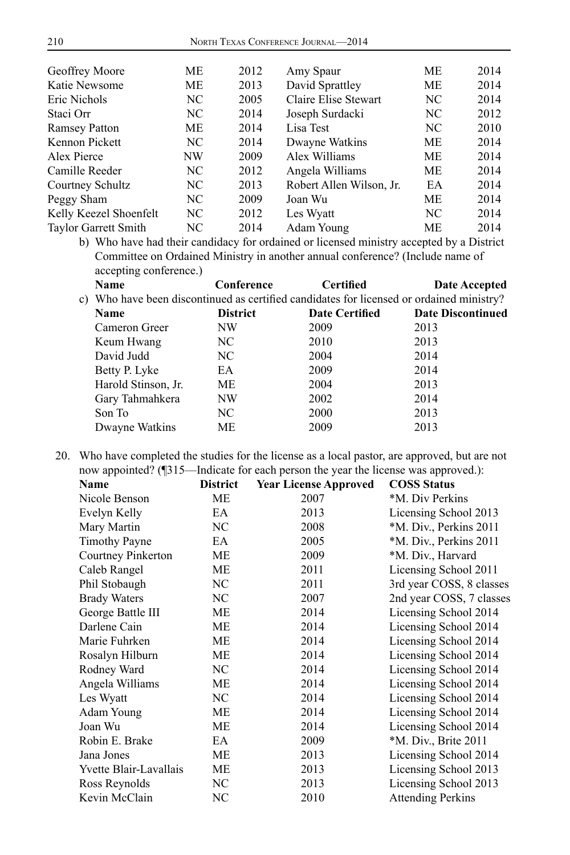| Geoffrey Moore         | MЕ  | 2012 | Amy Spaur                | МE        | 2014 |
|------------------------|-----|------|--------------------------|-----------|------|
| Katie Newsome          | MЕ  | 2013 | David Sprattley          | МE        | 2014 |
| Eric Nichols           | NC. | 2005 | Claire Elise Stewart     | NC.       | 2014 |
| Staci Orr              | NC. | 2014 | Joseph Surdacki          | NC.       | 2012 |
| <b>Ramsey Patton</b>   | MЕ  | 2014 | Lisa Test                | NC        | 2010 |
| Kennon Pickett         | NC. | 2014 | Dwayne Watkins           | МE        | 2014 |
| Alex Pierce            | NW  | 2009 | Alex Williams            | МE        | 2014 |
| Camille Reeder         | NC. | 2012 | Angela Williams          | МE        | 2014 |
| Courtney Schultz       | NC. | 2013 | Robert Allen Wilson, Jr. | EA        | 2014 |
| Peggy Sham             | NC. | 2009 | Joan Wu                  | МE        | 2014 |
| Kelly Keezel Shoenfelt | NC. | 2012 | Les Wyatt                | NC.       | 2014 |
| Taylor Garrett Smith   | NC  | 2014 | Adam Young               | <b>ME</b> | 2014 |

b) Who have had their candidacy for ordained or licensed ministry accepted by a District Committee on Ordained Ministry in another annual conference? (Include name of accepting conference.)

| Name                | Conference      | <b>Certified</b>      | Date Accepted                                                                            |
|---------------------|-----------------|-----------------------|------------------------------------------------------------------------------------------|
|                     |                 |                       |                                                                                          |
| Name                | <b>District</b> | <b>Date Certified</b> | <b>Date Discontinued</b>                                                                 |
| Cameron Greer       | NW              | 2009                  | 2013                                                                                     |
| Keum Hwang          | NC              | 2010                  | 2013                                                                                     |
| David Judd          | NC.             | 2004                  | 2014                                                                                     |
| Betty P. Lyke       | EA              | 2009                  | 2014                                                                                     |
| Harold Stinson, Jr. | МE              | 2004                  | 2013                                                                                     |
| Gary Tahmahkera     | NW              | 2002                  | 2014                                                                                     |
| Son To              | NC              | 2000                  | 2013                                                                                     |
| Dwayne Watkins      | <b>ME</b>       | 2009                  | 2013                                                                                     |
|                     |                 |                       | c) Who have been discontinued as certified candidates for licensed or ordained ministry? |

20. Who have completed the studies for the license as a local pastor, are approved, but are not now appointed? (¶315—Indicate for each person the year the license was approved.):

| <b>Name</b>            | <b>District</b> | <b>Year License Approved</b> | <b>COSS Status</b>       |
|------------------------|-----------------|------------------------------|--------------------------|
| Nicole Benson          | ME              | 2007                         | *M. Div Perkins          |
| Evelyn Kelly           | EA              | 2013                         | Licensing School 2013    |
| Mary Martin            | NC              | 2008                         | *M. Div., Perkins 2011   |
| <b>Timothy Payne</b>   | EA              | 2005                         | *M. Div., Perkins 2011   |
| Courtney Pinkerton     | ME              | 2009                         | *M. Div., Harvard        |
| Caleb Rangel           | ME              | 2011                         | Licensing School 2011    |
| Phil Stobaugh          | NC              | 2011                         | 3rd year COSS, 8 classes |
| <b>Brady Waters</b>    | NC.             | 2007                         | 2nd year COSS, 7 classes |
| George Battle III      | ME              | 2014                         | Licensing School 2014    |
| Darlene Cain           | ME              | 2014                         | Licensing School 2014    |
| Marie Fuhrken          | ME              | 2014                         | Licensing School 2014    |
| Rosalyn Hilburn        | ME              | 2014                         | Licensing School 2014    |
| Rodney Ward            | NC.             | 2014                         | Licensing School 2014    |
| Angela Williams        | ME              | 2014                         | Licensing School 2014    |
| Les Wyatt              | NC              | 2014                         | Licensing School 2014    |
| Adam Young             | ME              | 2014                         | Licensing School 2014    |
| Joan Wu                | <b>ME</b>       | 2014                         | Licensing School 2014    |
| Robin E. Brake         | EA              | 2009                         | *M. Div., Brite 2011     |
| Jana Jones             | ME              | 2013                         | Licensing School 2014    |
| Yvette Blair-Lavallais | ME              | 2013                         | Licensing School 2013    |
| Ross Reynolds          | NC              | 2013                         | Licensing School 2013    |
| Kevin McClain          | NC              | 2010                         | <b>Attending Perkins</b> |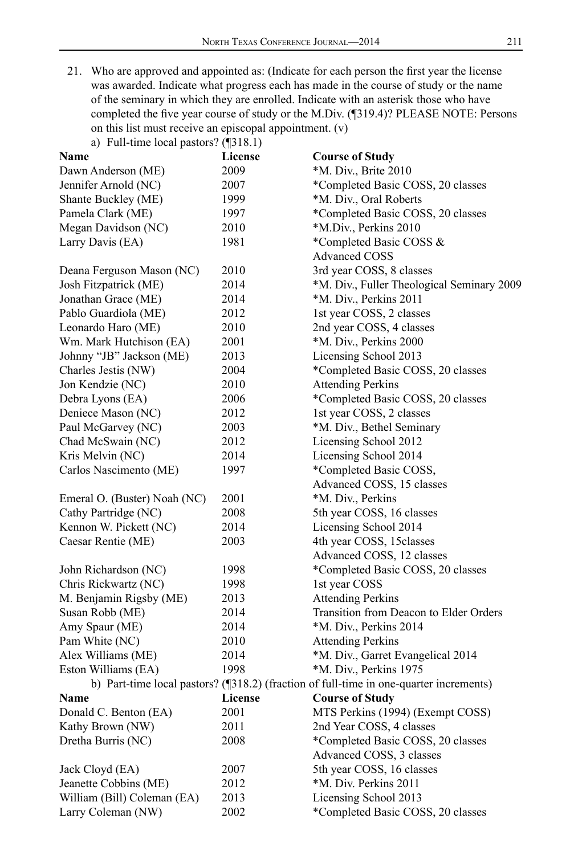21. Who are approved and appointed as: (Indicate for each person the first year the license was awarded. Indicate what progress each has made in the course of study or the name of the seminary in which they are enrolled. Indicate with an asterisk those who have completed the five year course of study or the M.Div. (¶319.4)? PLEASE NOTE: Persons on this list must receive an episcopal appointment. (v)

| a) Full-time local pastors? $(\sqrt{318.1})$ |                |                                                                                        |
|----------------------------------------------|----------------|----------------------------------------------------------------------------------------|
| Name                                         | License        | <b>Course of Study</b>                                                                 |
| Dawn Anderson (ME)                           | 2009           | *M. Div., Brite 2010                                                                   |
| Jennifer Arnold (NC)                         | 2007           | *Completed Basic COSS, 20 classes                                                      |
| Shante Buckley (ME)                          | 1999           | *M. Div., Oral Roberts                                                                 |
| Pamela Clark (ME)                            | 1997           | *Completed Basic COSS, 20 classes                                                      |
| Megan Davidson (NC)                          | 2010           | *M.Div., Perkins 2010                                                                  |
| Larry Davis (EA)                             | 1981           | *Completed Basic COSS &                                                                |
|                                              |                | <b>Advanced COSS</b>                                                                   |
| Deana Ferguson Mason (NC)                    | 2010           | 3rd year COSS, 8 classes                                                               |
| Josh Fitzpatrick (ME)                        | 2014           | *M. Div., Fuller Theological Seminary 2009                                             |
| Jonathan Grace (ME)                          | 2014           | *M. Div., Perkins 2011                                                                 |
| Pablo Guardiola (ME)                         | 2012           | 1st year COSS, 2 classes                                                               |
| Leonardo Haro (ME)                           | 2010           | 2nd year COSS, 4 classes                                                               |
| Wm. Mark Hutchison (EA)                      | 2001           | *M. Div., Perkins 2000                                                                 |
| Johnny "JB" Jackson (ME)                     | 2013           | Licensing School 2013                                                                  |
| Charles Jestis (NW)                          | 2004           | *Completed Basic COSS, 20 classes                                                      |
| Jon Kendzie (NC)                             | 2010           | <b>Attending Perkins</b>                                                               |
| Debra Lyons (EA)                             | 2006           | *Completed Basic COSS, 20 classes                                                      |
| Deniece Mason (NC)                           | 2012           | 1st year COSS, 2 classes                                                               |
| Paul McGarvey (NC)                           | 2003           | *M. Div., Bethel Seminary                                                              |
| Chad McSwain (NC)                            | 2012           | Licensing School 2012                                                                  |
| Kris Melvin (NC)                             | 2014           | Licensing School 2014                                                                  |
| Carlos Nascimento (ME)                       | 1997           | *Completed Basic COSS,                                                                 |
|                                              |                | Advanced COSS, 15 classes                                                              |
| Emeral O. (Buster) Noah (NC)                 | 2001           | *M. Div., Perkins                                                                      |
| Cathy Partridge (NC)                         | 2008           | 5th year COSS, 16 classes                                                              |
| Kennon W. Pickett (NC)                       | 2014           | Licensing School 2014                                                                  |
| Caesar Rentie (ME)                           | 2003           | 4th year COSS, 15 classes                                                              |
|                                              |                | Advanced COSS, 12 classes                                                              |
| John Richardson (NC)                         | 1998           | *Completed Basic COSS, 20 classes                                                      |
| Chris Rickwartz (NC)                         | 1998           | 1st year COSS                                                                          |
| M. Benjamin Rigsby (ME)                      | 2013           | <b>Attending Perkins</b>                                                               |
| Susan Robb (ME)                              | 2014           | Transition from Deacon to Elder Orders                                                 |
| Amy Spaur (ME)                               | 2014           | *M. Div., Perkins 2014                                                                 |
| Pam White (NC)                               | 2010           | <b>Attending Perkins</b>                                                               |
| Alex Williams (ME)                           | 2014           | *M. Div., Garret Evangelical 2014                                                      |
| Eston Williams (EA)                          | 1998           | *M. Div., Perkins 1975                                                                 |
|                                              |                | b) Part-time local pastors? (¶318.2) (fraction of full-time in one-quarter increments) |
| <b>Name</b>                                  | <b>License</b> | <b>Course of Study</b>                                                                 |
| Donald C. Benton (EA)                        | 2001           | MTS Perkins (1994) (Exempt COSS)                                                       |
| Kathy Brown (NW)                             | 2011           | 2nd Year COSS, 4 classes                                                               |
| Dretha Burris (NC)                           | 2008           | *Completed Basic COSS, 20 classes                                                      |
|                                              |                | Advanced COSS, 3 classes                                                               |
| Jack Cloyd (EA)                              | 2007           | 5th year COSS, 16 classes                                                              |
| Jeanette Cobbins (ME)                        | 2012           | *M. Div. Perkins 2011                                                                  |
| William (Bill) Coleman (EA)                  | 2013           | Licensing School 2013                                                                  |
| Larry Coleman (NW)                           | 2002           | *Completed Basic COSS, 20 classes                                                      |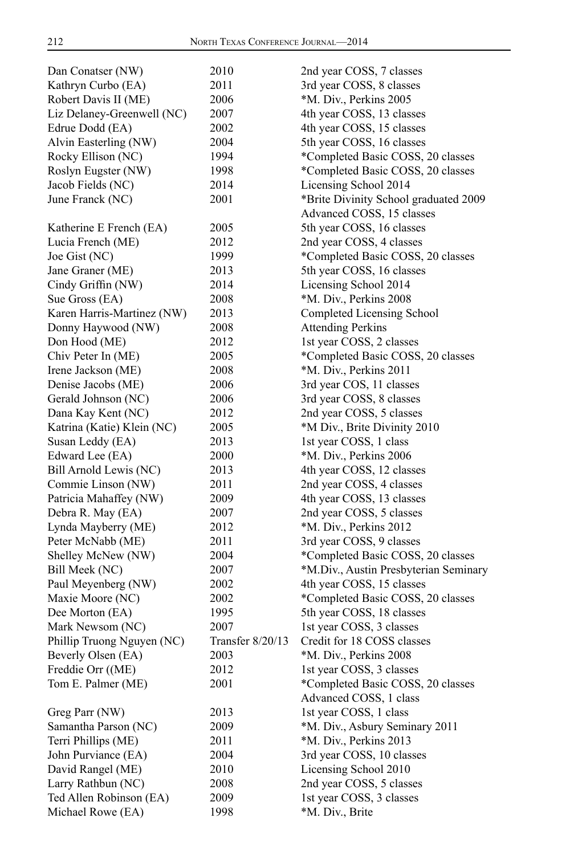| Dan Conatser (NW)          | 2010             | 2nd year COSS, 7 classes              |
|----------------------------|------------------|---------------------------------------|
| Kathryn Curbo (EA)         | 2011             | 3rd year COSS, 8 classes              |
| Robert Davis II (ME)       | 2006             | *M. Div., Perkins 2005                |
| Liz Delaney-Greenwell (NC) | 2007             | 4th year COSS, 13 classes             |
| Edrue Dodd (EA)            | 2002             | 4th year COSS, 15 classes             |
| Alvin Easterling (NW)      | 2004             | 5th year COSS, 16 classes             |
| Rocky Ellison (NC)         | 1994             | *Completed Basic COSS, 20 classes     |
| Roslyn Eugster (NW)        | 1998             | *Completed Basic COSS, 20 classes     |
| Jacob Fields (NC)          | 2014             | Licensing School 2014                 |
| June Franck (NC)           | 2001             | *Brite Divinity School graduated 2009 |
|                            |                  | Advanced COSS, 15 classes             |
| Katherine E French (EA)    | 2005             | 5th year COSS, 16 classes             |
| Lucia French (ME)          | 2012             | 2nd year COSS, 4 classes              |
| Joe Gist (NC)              | 1999             | *Completed Basic COSS, 20 classes     |
| Jane Graner (ME)           | 2013             | 5th year COSS, 16 classes             |
| Cindy Griffin (NW)         | 2014             | Licensing School 2014                 |
| Sue Gross (EA)             | 2008             | *M. Div., Perkins 2008                |
| Karen Harris-Martinez (NW) | 2013             | Completed Licensing School            |
| Donny Haywood (NW)         | 2008             | <b>Attending Perkins</b>              |
| Don Hood (ME)              | 2012             | 1st year COSS, 2 classes              |
| Chiv Peter In (ME)         | 2005             | *Completed Basic COSS, 20 classes     |
| Irene Jackson (ME)         | 2008             | *M. Div., Perkins 2011                |
| Denise Jacobs (ME)         | 2006             | 3rd year COS, 11 classes              |
| Gerald Johnson (NC)        | 2006             | 3rd year COSS, 8 classes              |
| Dana Kay Kent (NC)         | 2012             | 2nd year COSS, 5 classes              |
| Katrina (Katie) Klein (NC) | 2005             | *M Div., Brite Divinity 2010          |
| Susan Leddy (EA)           | 2013             | 1st year COSS, 1 class                |
| Edward Lee (EA)            | 2000             | *M. Div., Perkins 2006                |
| Bill Arnold Lewis (NC)     | 2013             | 4th year COSS, 12 classes             |
| Commie Linson (NW)         | 2011             | 2nd year COSS, 4 classes              |
| Patricia Mahaffey (NW)     | 2009             | 4th year COSS, 13 classes             |
| Debra R. May (EA)          | 2007             | 2nd year COSS, 5 classes              |
| Lynda Mayberry (ME)        | 2012             | *M. Div., Perkins 2012                |
| Peter McNabb (ME)          | 2011             | 3rd year COSS, 9 classes              |
| Shelley McNew (NW)         | 2004             | *Completed Basic COSS, 20 classes     |
| Bill Meek (NC)             | 2007             | *M.Div., Austin Presbyterian Seminary |
| Paul Meyenberg (NW)        | 2002             | 4th year COSS, 15 classes             |
| Maxie Moore (NC)           | 2002             | *Completed Basic COSS, 20 classes     |
| Dee Morton (EA)            | 1995             | 5th year COSS, 18 classes             |
| Mark Newsom (NC)           | 2007             | 1st year COSS, 3 classes              |
| Phillip Truong Nguyen (NC) | Transfer 8/20/13 | Credit for 18 COSS classes            |
| Beverly Olsen (EA)         | 2003             | *M. Div., Perkins 2008                |
| Freddie Orr ((ME)          |                  | 1st year COSS, 3 classes              |
| Tom E. Palmer (ME)         | 2012<br>2001     | *Completed Basic COSS, 20 classes     |
|                            |                  | Advanced COSS, 1 class                |
| Greg Parr (NW)             |                  | 1st year COSS, 1 class                |
|                            | 2013             |                                       |
| Samantha Parson (NC)       | 2009             | *M. Div., Asbury Seminary 2011        |
| Terri Phillips (ME)        | 2011             | *M. Div., Perkins 2013                |
| John Purviance (EA)        | 2004             | 3rd year COSS, 10 classes             |
| David Rangel (ME)          | 2010             | Licensing School 2010                 |
| Larry Rathbun (NC)         | 2008             | 2nd year COSS, 5 classes              |
| Ted Allen Robinson (EA)    | 2009             | 1st year COSS, 3 classes              |
| Michael Rowe (EA)          | 1998             | *M. Div., Brite                       |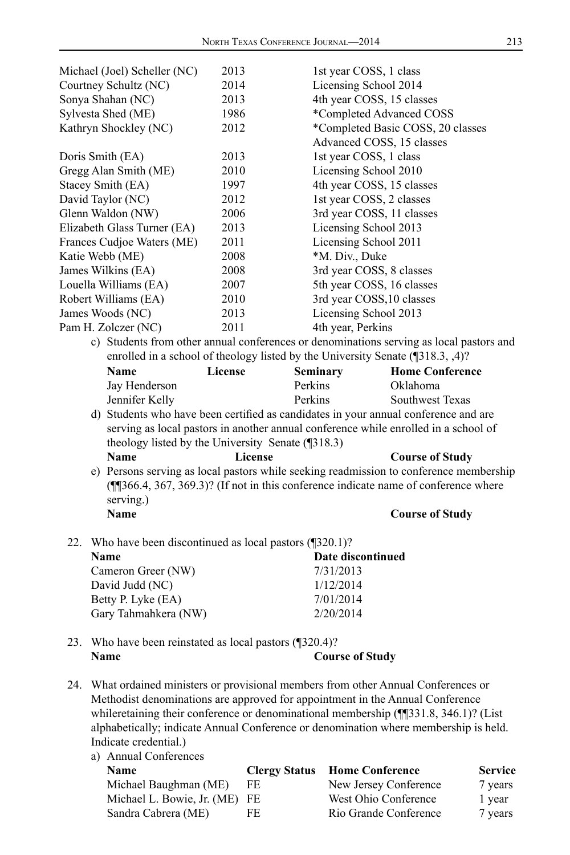|                                                                                     | 2013           | 1st year COSS, 1 class                                                                                                                                                      |                        |
|-------------------------------------------------------------------------------------|----------------|-----------------------------------------------------------------------------------------------------------------------------------------------------------------------------|------------------------|
| Courtney Schultz (NC)                                                               | 2014           | Licensing School 2014                                                                                                                                                       |                        |
| Sonya Shahan (NC)                                                                   | 2013           | 4th year COSS, 15 classes                                                                                                                                                   |                        |
| Sylvesta Shed (ME)                                                                  | 1986           | *Completed Advanced COSS                                                                                                                                                    |                        |
| Kathryn Shockley (NC)                                                               | 2012           | *Completed Basic COSS, 20 classes                                                                                                                                           |                        |
|                                                                                     |                | Advanced COSS, 15 classes                                                                                                                                                   |                        |
| Doris Smith (EA)                                                                    | 2013           | 1st year COSS, 1 class                                                                                                                                                      |                        |
| Gregg Alan Smith (ME)                                                               | 2010           | Licensing School 2010                                                                                                                                                       |                        |
| Stacey Smith (EA)                                                                   | 1997           | 4th year COSS, 15 classes                                                                                                                                                   |                        |
| David Taylor (NC)                                                                   | 2012           | 1st year COSS, 2 classes                                                                                                                                                    |                        |
| Glenn Waldon (NW)                                                                   | 2006           | 3rd year COSS, 11 classes                                                                                                                                                   |                        |
| Elizabeth Glass Turner (EA)                                                         | 2013           | Licensing School 2013                                                                                                                                                       |                        |
| Frances Cudjoe Waters (ME)                                                          | 2011           | Licensing School 2011                                                                                                                                                       |                        |
| Katie Webb (ME)                                                                     | 2008           | *M. Div., Duke                                                                                                                                                              |                        |
| James Wilkins (EA)                                                                  | 2008           | 3rd year COSS, 8 classes                                                                                                                                                    |                        |
| Louella Williams (EA)                                                               | 2007           | 5th year COSS, 16 classes                                                                                                                                                   |                        |
| Robert Williams (EA)                                                                | 2010           | 3rd year COSS, 10 classes                                                                                                                                                   |                        |
| James Woods (NC)                                                                    | 2013           | Licensing School 2013                                                                                                                                                       |                        |
| Pam H. Zolczer (NC)                                                                 | 2011           | 4th year, Perkins                                                                                                                                                           |                        |
|                                                                                     |                | c) Students from other annual conferences or denominations serving as local pastors and                                                                                     |                        |
|                                                                                     |                | enrolled in a school of theology listed by the University Senate (1318.3, 4)?                                                                                               |                        |
| Name                                                                                | License        | <b>Seminary</b>                                                                                                                                                             | <b>Home Conference</b> |
| Jay Henderson                                                                       |                | Perkins                                                                                                                                                                     | Oklahoma               |
| Jennifer Kelly                                                                      |                | Perkins                                                                                                                                                                     | Southwest Texas        |
|                                                                                     |                | d) Students who have been certified as candidates in your annual conference and are                                                                                         |                        |
| serving as local pastors in another annual conference while enrolled in a school of |                |                                                                                                                                                                             |                        |
|                                                                                     |                |                                                                                                                                                                             |                        |
|                                                                                     |                |                                                                                                                                                                             |                        |
| theology listed by the University Senate (¶318.3)                                   |                |                                                                                                                                                                             |                        |
| Name                                                                                | <b>License</b> |                                                                                                                                                                             | <b>Course of Study</b> |
|                                                                                     |                | e) Persons serving as local pastors while seeking readmission to conference membership                                                                                      |                        |
|                                                                                     |                | (1366.4, 367, 369.3)? (If not in this conference indicate name of conference where                                                                                          |                        |
| serving.)<br><b>Name</b>                                                            |                |                                                                                                                                                                             |                        |
|                                                                                     |                |                                                                                                                                                                             | <b>Course of Study</b> |
|                                                                                     |                |                                                                                                                                                                             |                        |
| 22. Who have been discontinued as local pastors $(\sqrt{320.1})$ ?<br>Name          |                | Date discontinued                                                                                                                                                           |                        |
|                                                                                     |                |                                                                                                                                                                             |                        |
| Cameron Greer (NW)                                                                  |                | 7/31/2013<br>1/12/2014                                                                                                                                                      |                        |
| David Judd (NC)                                                                     |                |                                                                                                                                                                             |                        |
| Betty P. Lyke (EA)                                                                  |                | 7/01/2014<br>2/20/2014                                                                                                                                                      |                        |
| Gary Tahmahkera (NW)                                                                |                |                                                                                                                                                                             |                        |
|                                                                                     |                |                                                                                                                                                                             |                        |
| 23. Who have been reinstated as local pastors (¶320.4)?<br>Name                     |                |                                                                                                                                                                             |                        |
|                                                                                     |                | <b>Course of Study</b>                                                                                                                                                      |                        |
|                                                                                     |                |                                                                                                                                                                             |                        |
|                                                                                     |                | 24. What ordained ministers or provisional members from other Annual Conferences or<br>Methodist denominations are approved for appointment in the Annual Conference        |                        |
|                                                                                     |                |                                                                                                                                                                             |                        |
|                                                                                     |                | whileretaining their conference or denominational membership (1331.8, 346.1)? (List<br>alphabetically; indicate Annual Conference or denomination where membership is held. |                        |

a) Annual Conferences **Name Clergy Status Home Conference Service** Michael Baughman (ME) FE New Jersey Conference 7 years Michael L. Bowie, Jr. (ME) FE West Ohio Conference 1 year Sandra Cabrera (ME) FE Rio Grande Conference 7 years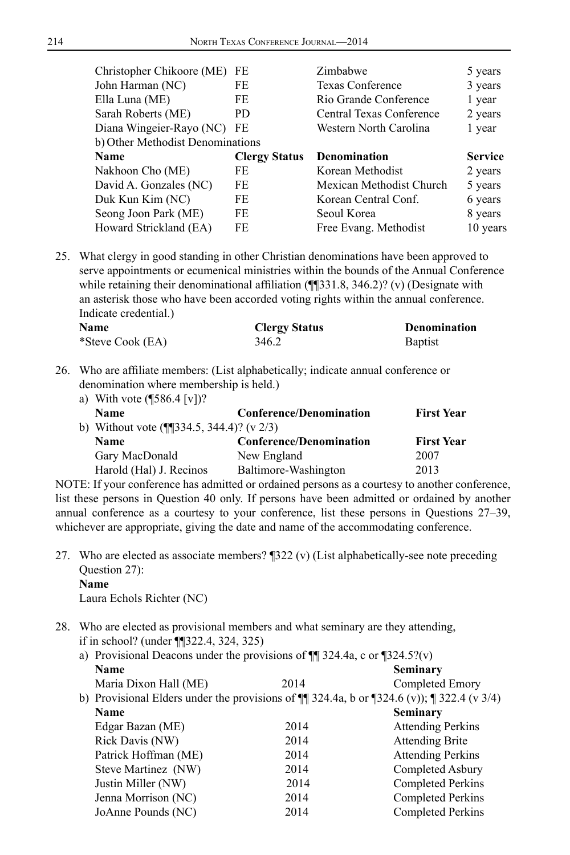| Christopher Chikoore (ME)        | FE                   | Zimbabwe                 | 5 years        |
|----------------------------------|----------------------|--------------------------|----------------|
| John Harman (NC)                 | FE                   | <b>Texas Conference</b>  | 3 years        |
| Ella Luna (ME)                   | FE                   | Rio Grande Conference    | 1 year         |
| Sarah Roberts (ME)               | PD.                  | Central Texas Conference | 2 years        |
| Diana Wingeier-Rayo (NC) FE      |                      | Western North Carolina   | 1 year         |
| b) Other Methodist Denominations |                      |                          |                |
|                                  |                      |                          |                |
| Name                             | <b>Clergy Status</b> | <b>Denomination</b>      | <b>Service</b> |
| Nakhoon Cho (ME)                 | FE                   | Korean Methodist         | 2 years        |
| David A. Gonzales (NC)           | FE                   | Mexican Methodist Church | 5 years        |
| Duk Kun Kim (NC)                 | FE                   | Korean Central Conf.     | 6 years        |
| Seong Joon Park (ME)             | FE                   | Seoul Korea              | 8 years        |

25. What clergy in good standing in other Christian denominations have been approved to serve appointments or ecumenical ministries within the bounds of the Annual Conference while retaining their denominational affiliation (¶¶331.8, 346.2)? (v) (Designate with an asterisk those who have been accorded voting rights within the annual conference. Indicate credential.)

| Name             | <b>Clergy Status</b> | Denomination   |  |
|------------------|----------------------|----------------|--|
| *Steve Cook (EA) | 346.2                | <b>Baptist</b> |  |

26. Who are affiliate members: (List alphabetically; indicate annual conference or denomination where membership is held.)

| a) With vote $(\sqrt{586.4} \, \text{[v]})$ ?                              |                                |                   |
|----------------------------------------------------------------------------|--------------------------------|-------------------|
| <b>Name</b>                                                                | <b>Conference/Denomination</b> | <b>First Year</b> |
| b) Without vote $(\text{I} \text{I} \text{334.5}, \text{344.4})$ ? (v 2/3) |                                |                   |
| <b>Name</b>                                                                | <b>Conference/Denomination</b> | <b>First Year</b> |
| Gary MacDonald                                                             | New England                    | 2007              |
| Harold (Hal) J. Recinos                                                    | Baltimore-Washington           | 2013              |

NOTE: If your conference has admitted or ordained persons as a courtesy to another conference, list these persons in Question 40 only. If persons have been admitted or ordained by another annual conference as a courtesy to your conference, list these persons in Questions 27–39, whichever are appropriate, giving the date and name of the accommodating conference.

27. Who are elected as associate members? ¶322 (v) (List alphabetically-see note preceding Question 27): **Name**

Laura Echols Richter (NC)

28. Who are elected as provisional members and what seminary are they attending, if in school? (under ¶¶322.4, 324, 325)

| a) Provisional Deacons under the provisions of $\P$ 324.4a, c or $\P$ 324.5?(v) |      |                                                                                                     |
|---------------------------------------------------------------------------------|------|-----------------------------------------------------------------------------------------------------|
| <b>Name</b>                                                                     |      | <b>Seminary</b>                                                                                     |
| Maria Dixon Hall (ME)                                                           | 2014 | Completed Emory                                                                                     |
|                                                                                 |      | b) Provisional Elders under the provisions of $\P$ 324.4a, b or $\P$ 324.6 (v)); $\P$ 322.4 (v 3/4) |
| <b>Name</b>                                                                     |      | Seminary                                                                                            |
| Edgar Bazan (ME)                                                                | 2014 | <b>Attending Perkins</b>                                                                            |
| Rick Davis (NW)                                                                 | 2014 | <b>Attending Brite</b>                                                                              |
| Patrick Hoffman (ME)                                                            | 2014 | <b>Attending Perkins</b>                                                                            |
| Steve Martinez (NW)                                                             | 2014 | Completed Asbury                                                                                    |
| Justin Miller (NW)                                                              | 2014 | <b>Completed Perkins</b>                                                                            |
| Jenna Morrison (NC)                                                             | 2014 | <b>Completed Perkins</b>                                                                            |
| JoAnne Pounds (NC)                                                              | 2014 | Completed Perkins                                                                                   |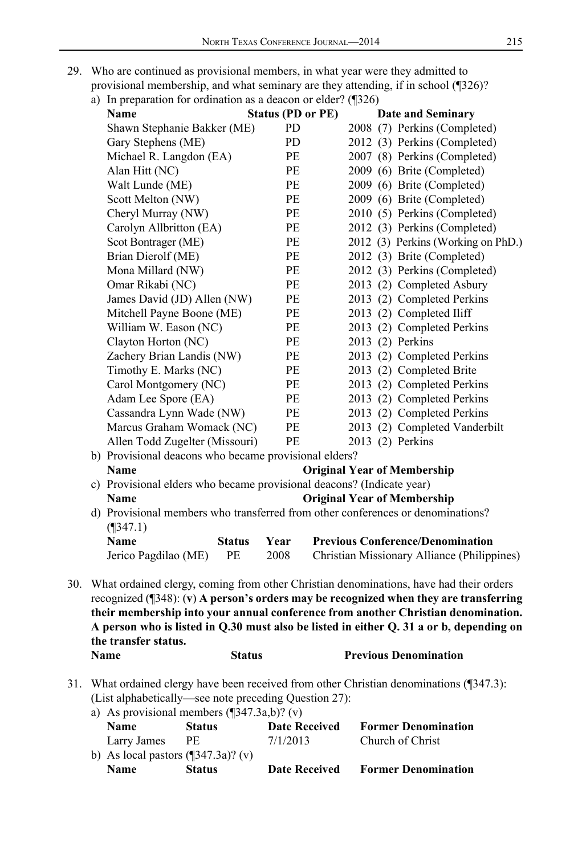- 29. Who are continued as provisional members, in what year were they admitted to
	- provisional membership, and what seminary are they attending, if in school (¶326)?
	- a) In preparation for ordination as a deacon or elder?  $($   $\mathbb{I}326)$

|     | a) in preparation for organization as a deacon or energy ( $320$ )                                     |               |                          |                                    |                                                                                                                                                                                                                                                                                                                                                                          |
|-----|--------------------------------------------------------------------------------------------------------|---------------|--------------------------|------------------------------------|--------------------------------------------------------------------------------------------------------------------------------------------------------------------------------------------------------------------------------------------------------------------------------------------------------------------------------------------------------------------------|
|     | Name                                                                                                   |               | <b>Status (PD or PE)</b> |                                    | <b>Date and Seminary</b>                                                                                                                                                                                                                                                                                                                                                 |
|     | Shawn Stephanie Bakker (ME)                                                                            |               | PD                       |                                    | 2008 (7) Perkins (Completed)                                                                                                                                                                                                                                                                                                                                             |
|     | Gary Stephens (ME)                                                                                     |               | PD                       |                                    | 2012 (3) Perkins (Completed)                                                                                                                                                                                                                                                                                                                                             |
|     | Michael R. Langdon (EA)                                                                                |               | PЕ                       |                                    | 2007 (8) Perkins (Completed)                                                                                                                                                                                                                                                                                                                                             |
|     | Alan Hitt (NC)                                                                                         |               | PE                       |                                    | 2009 (6) Brite (Completed)                                                                                                                                                                                                                                                                                                                                               |
|     | Walt Lunde (ME)                                                                                        |               | PE                       |                                    | 2009 (6) Brite (Completed)                                                                                                                                                                                                                                                                                                                                               |
|     | Scott Melton (NW)                                                                                      |               | PE                       |                                    | 2009 (6) Brite (Completed)                                                                                                                                                                                                                                                                                                                                               |
|     | Cheryl Murray (NW)                                                                                     |               | PE                       |                                    | 2010 (5) Perkins (Completed)                                                                                                                                                                                                                                                                                                                                             |
|     | Carolyn Allbritton (EA)                                                                                |               | PЕ                       |                                    | 2012 (3) Perkins (Completed)                                                                                                                                                                                                                                                                                                                                             |
|     | Scot Bontrager (ME)                                                                                    |               | $\rm PE$                 |                                    | 2012 (3) Perkins (Working on PhD.)                                                                                                                                                                                                                                                                                                                                       |
|     | Brian Dierolf (ME)                                                                                     |               | PE                       |                                    | 2012 (3) Brite (Completed)                                                                                                                                                                                                                                                                                                                                               |
|     | Mona Millard (NW)                                                                                      |               | PE                       |                                    | 2012 (3) Perkins (Completed)                                                                                                                                                                                                                                                                                                                                             |
|     | Omar Rikabi (NC)                                                                                       |               | PE                       |                                    | 2013 (2) Completed Asbury                                                                                                                                                                                                                                                                                                                                                |
|     | James David (JD) Allen (NW)                                                                            |               | PE                       |                                    | 2013 (2) Completed Perkins                                                                                                                                                                                                                                                                                                                                               |
|     | Mitchell Payne Boone (ME)                                                                              |               | PE                       |                                    | 2013 (2) Completed Iliff                                                                                                                                                                                                                                                                                                                                                 |
|     | William W. Eason (NC)                                                                                  |               | PE                       |                                    | 2013 (2) Completed Perkins                                                                                                                                                                                                                                                                                                                                               |
|     | Clayton Horton (NC)                                                                                    |               | PE                       |                                    | 2013 (2) Perkins                                                                                                                                                                                                                                                                                                                                                         |
|     | Zachery Brian Landis (NW)                                                                              |               | $PE$                     |                                    | 2013 (2) Completed Perkins                                                                                                                                                                                                                                                                                                                                               |
|     | Timothy E. Marks (NC)                                                                                  |               | PE                       |                                    | 2013 (2) Completed Brite                                                                                                                                                                                                                                                                                                                                                 |
|     | Carol Montgomery (NC)                                                                                  |               | PE                       |                                    | 2013 (2) Completed Perkins                                                                                                                                                                                                                                                                                                                                               |
|     | Adam Lee Spore (EA)                                                                                    |               | PE                       |                                    | 2013 (2) Completed Perkins                                                                                                                                                                                                                                                                                                                                               |
|     | Cassandra Lynn Wade (NW)                                                                               |               | PE                       |                                    | 2013 (2) Completed Perkins                                                                                                                                                                                                                                                                                                                                               |
|     | Marcus Graham Womack (NC)                                                                              |               | PE                       |                                    | 2013 (2) Completed Vanderbilt                                                                                                                                                                                                                                                                                                                                            |
|     | Allen Todd Zugelter (Missouri)                                                                         |               | PE                       |                                    | 2013 (2) Perkins                                                                                                                                                                                                                                                                                                                                                         |
|     | b) Provisional deacons who became provisional elders?                                                  |               |                          |                                    |                                                                                                                                                                                                                                                                                                                                                                          |
|     | Name                                                                                                   |               |                          | <b>Original Year of Membership</b> |                                                                                                                                                                                                                                                                                                                                                                          |
|     | c) Provisional elders who became provisional deacons? (Indicate year)                                  |               |                          |                                    |                                                                                                                                                                                                                                                                                                                                                                          |
|     | <b>Name</b>                                                                                            |               |                          | <b>Original Year of Membership</b> |                                                                                                                                                                                                                                                                                                                                                                          |
|     | d) Provisional members who transferred from other conferences or denominations?<br>$($ 1347.1)         |               |                          |                                    |                                                                                                                                                                                                                                                                                                                                                                          |
|     | Name                                                                                                   | <b>Status</b> | Year                     |                                    | <b>Previous Conference/Denomination</b>                                                                                                                                                                                                                                                                                                                                  |
|     | Jerico Pagdilao (ME)                                                                                   | PE            | 2008                     |                                    | Christian Missionary Alliance (Philippines)                                                                                                                                                                                                                                                                                                                              |
| 30. | the transfer status.                                                                                   |               |                          |                                    | What ordained clergy, coming from other Christian denominations, have had their orders<br>recognized $(\sqrt{348})$ : (v) A person's orders may be recognized when they are transferring<br>their membership into your annual conference from another Christian denomination.<br>A person who is listed in Q.30 must also be listed in either Q. 31 a or b, depending on |
|     | Name                                                                                                   | <b>Status</b> |                          |                                    | <b>Previous Denomination</b>                                                                                                                                                                                                                                                                                                                                             |
|     |                                                                                                        |               |                          |                                    |                                                                                                                                                                                                                                                                                                                                                                          |
| 31. | (List alphabetically—see note preceding Question 27):<br>a) As provisional members $(1347.3a b)$ ? (v) |               |                          |                                    | What ordained clergy have been received from other Christian denominations (¶347.3):                                                                                                                                                                                                                                                                                     |

| <b>Name</b>                                 | <b>Status</b> | <b>Date Received</b> | <b>Former Denomination</b> |
|---------------------------------------------|---------------|----------------------|----------------------------|
| b) As local pastors $(\sqrt{347.3a})$ ? (v) |               |                      |                            |
| Larry James                                 | PE            | 7/1/2013             | Church of Christ           |
| <b>Name</b>                                 | <b>Status</b> | <b>Date Received</b> | <b>Former Denomination</b> |
|                                             |               |                      |                            |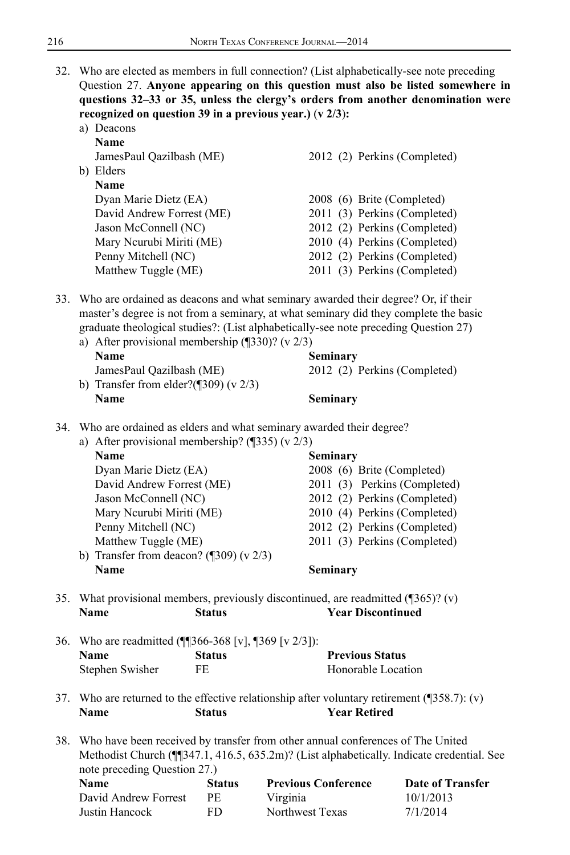32. Who are elected as members in full connection? (List alphabetically-see note preceding Question 27. **Anyone appearing on this question must also be listed somewhere in questions 32–33 or 35, unless the clergy's orders from another denomination were recognized on question 39 in a previous year.)** (**v 2/3**)**:**

|    | Deacons                   |                              |
|----|---------------------------|------------------------------|
|    | <b>Name</b>               |                              |
|    | JamesPaul Qazilbash (ME)  | 2012 (2) Perkins (Completed) |
| b) | Elders                    |                              |
|    | <b>Name</b>               |                              |
|    | Dyan Marie Dietz (EA)     | 2008 (6) Brite (Completed)   |
|    | David Andrew Forrest (ME) | 2011 (3) Perkins (Completed) |
|    | Jason McConnell (NC)      | 2012 (2) Perkins (Completed) |
|    | Mary Neurubi Miriti (ME)  | 2010 (4) Perkins (Completed) |
|    | Penny Mitchell (NC)       | 2012 (2) Perkins (Completed) |
|    | Matthew Tuggle (ME)       | 2011 (3) Perkins (Completed) |

33. Who are ordained as deacons and what seminary awarded their degree? Or, if their master's degree is not from a seminary, at what seminary did they complete the basic graduate theological studies?: (List alphabetically-see note preceding Question 27)

|                  | a) After provisional membership $(\sqrt{330})$ ? (v 2/3) |                              |  |
|------------------|----------------------------------------------------------|------------------------------|--|
| Seminary<br>Name |                                                          |                              |  |
|                  | JamesPaul Oazilbash (ME)                                 | 2012 (2) Perkins (Completed) |  |
|                  | b) Transfer from elder?( $\sqrt{309}$ ) (v 2/3)          |                              |  |
|                  | Name                                                     | Seminary                     |  |

34. Who are ordained as elders and what seminary awarded their degree?

| a) After provisional membership? $(\sqrt{335})$ (v 2/3) |                              |  |
|---------------------------------------------------------|------------------------------|--|
|                                                         |                              |  |
| Name                                                    | Seminary                     |  |
| Dyan Marie Dietz (EA)                                   | 2008 (6) Brite (Completed)   |  |
| David Andrew Forrest (ME)                               | 2011 (3) Perkins (Completed) |  |
| Jason McConnell (NC)                                    | 2012 (2) Perkins (Completed) |  |
| Mary Neurubi Miriti (ME)                                | 2010 (4) Perkins (Completed) |  |
| Penny Mitchell (NC)                                     | 2012 (2) Perkins (Completed) |  |
| Matthew Tuggle (ME)                                     | 2011 (3) Perkins (Completed) |  |
| b) Transfer from deacon? $(\sqrt{309}) (v \sqrt{2/3})$  |                              |  |
| Name                                                    | Seminary                     |  |

35. What provisional members, previously discontinued, are readmitted (¶365)? (v) **Name Status Year Discontinued**

| 36. Who are readmitted (¶[366-368 [v], ¶369 [v 2/3]): |               |                        |
|-------------------------------------------------------|---------------|------------------------|
| <b>Name</b>                                           | <b>Status</b> | <b>Previous Status</b> |
| Stephen Swisher                                       | FE            | Honorable Location     |

- 37. Who are returned to the effective relationship after voluntary retirement  $(\sqrt{358.7})$ : (v) **Name Status Year Retired**
- 38. Who have been received by transfer from other annual conferences of The United Methodist Church (¶¶347.1, 416.5, 635.2m)? (List alphabetically. Indicate credential. See note preceding Question 27.)

| Name                 | <b>Status</b> | <b>Previous Conference</b> | Date of Transfer |
|----------------------|---------------|----------------------------|------------------|
| David Andrew Forrest | PE.           | Virginia                   | 10/1/2013        |
| Justin Hancock       | FD.           | Northwest Texas            | 7/1/2014         |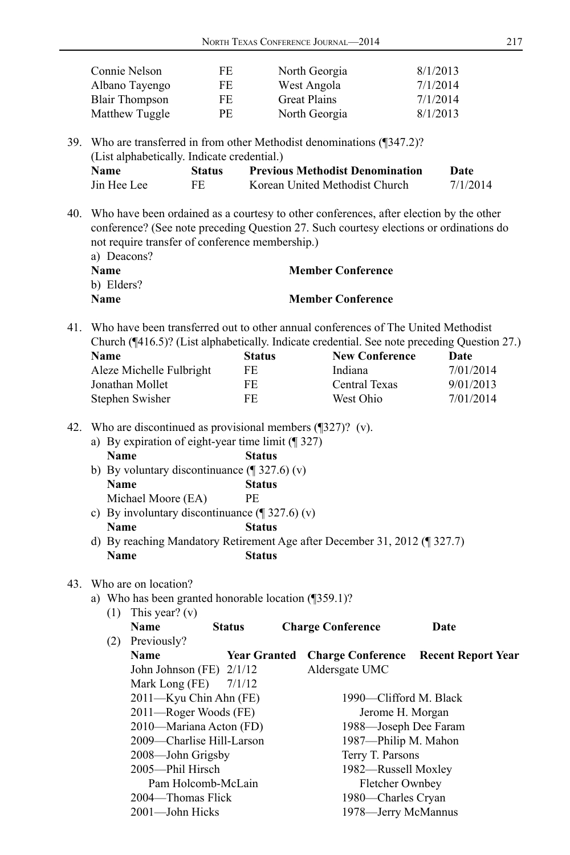| Connie Nelson         | FE | North Georgia       | 8/1/2013 |
|-----------------------|----|---------------------|----------|
| Albano Tayengo        | FE | West Angola         | 7/1/2014 |
| <b>Blair Thompson</b> | FE | <b>Great Plains</b> | 7/1/2014 |
| Matthew Tuggle        | РE | North Georgia       | 8/1/2013 |

39. Who are transferred in from other Methodist denominations (¶347.2)? (List alphabetically. Indicate credential.)

| <b>Name</b> | Status | <b>Previous Methodist Denomination</b> | Date     |
|-------------|--------|----------------------------------------|----------|
| Jin Hee Lee | FE     | Korean United Methodist Church         | 7/1/2014 |

40. Who have been ordained as a courtesy to other conferences, after election by the other conference? (See note preceding Question 27. Such courtesy elections or ordinations do not require transfer of conference membership.)

| a) Deacons? |                          |
|-------------|--------------------------|
| <b>Name</b> | <b>Member Conference</b> |
| b) Elders?  |                          |
| <b>Name</b> | <b>Member Conference</b> |

41. Who have been transferred out to other annual conferences of The United Methodist Church (¶416.5)? (List alphabetically. Indicate credential. See note preceding Question 27.)

| <b>Name</b>              | <b>Status</b> | <b>New Conference</b> | Date      |
|--------------------------|---------------|-----------------------|-----------|
| Aleze Michelle Fulbright | FE            | Indiana               | 7/01/2014 |
| Jonathan Mollet          | FE            | Central Texas         | 9/01/2013 |
| Stephen Swisher          | FE.           | West Ohio             | 7/01/2014 |

42. Who are discontinued as provisional members (¶327)? (v).

|             | a) By expiration of eight-year time limit $(\sqrt{\phantom{a}}327)$ |
|-------------|---------------------------------------------------------------------|
| <b>Name</b> | <b>Status</b>                                                       |

- b) By voluntary discontinuance  $(\sqrt{\phantom{a}}\,327.6)(v)$ **Name Status** Michael Moore (EA) PE
- c) By involuntary discontinuance (¶ 327.6) (v)

**Name Status**

d) By reaching Mandatory Retirement Age after December 31, 2012 (¶ 327.7) **Name Status**

#### 43. Who are on location?

a) Who has been granted honorable location (¶359.1)?

| (1) | This year? $(v)$           |                     |                          |                           |
|-----|----------------------------|---------------------|--------------------------|---------------------------|
|     | <b>Name</b>                | <b>Status</b>       | <b>Charge Conference</b> | Date                      |
| (2) | Previously?                |                     |                          |                           |
|     | <b>Name</b>                | <b>Year Granted</b> | <b>Charge Conference</b> | <b>Recent Report Year</b> |
|     | John Johnson (FE) $2/1/12$ |                     | Aldersgate UMC           |                           |
|     | Mark Long (FE)             | 7/1/12              |                          |                           |
|     | 2011—Kyu Chin Ahn (FE)     |                     | 1990—Clifford M. Black   |                           |
|     | 2011—Roger Woods (FE)      |                     | Jerome H. Morgan         |                           |
|     | 2010—Mariana Acton (FD)    |                     | 1988—Joseph Dee Faram    |                           |
|     | 2009—Charlise Hill-Larson  |                     | 1987—Philip M. Mahon     |                           |
|     | 2008-John Grigsby          |                     | Terry T. Parsons         |                           |
|     | 2005—Phil Hirsch           |                     | 1982—Russell Moxley      |                           |
|     | Pam Holcomb-McLain         |                     | <b>Fletcher Ownbey</b>   |                           |
|     | 2004—Thomas Flick          |                     | 1980—Charles Cryan       |                           |
|     | 2001-John Hicks            |                     | 1978—Jerry McMannus      |                           |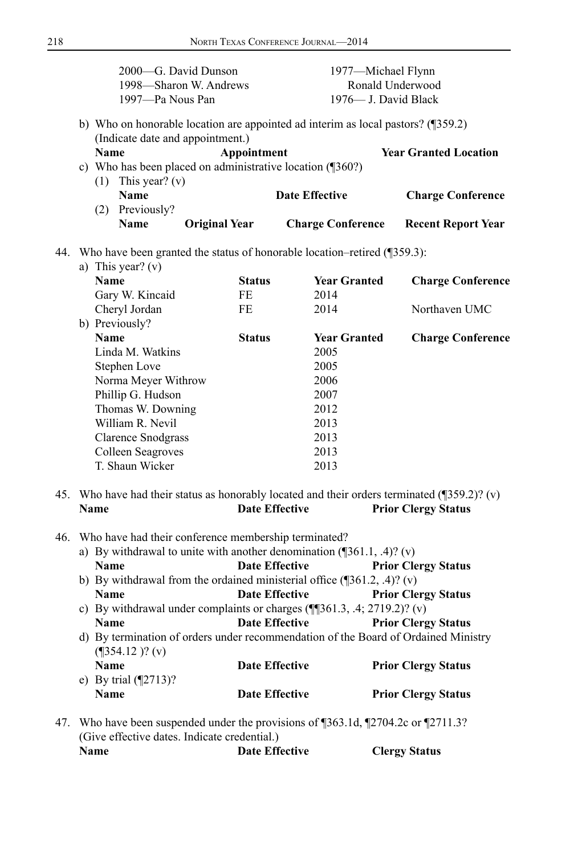|     | 2000-G. David Dunson<br>1998—Sharon W. Andrews<br>1997-Pa Nous Pan                                                                     |                       | 1977—Michael Flynn<br>1976— J. David Black | Ronald Underwood             |  |
|-----|----------------------------------------------------------------------------------------------------------------------------------------|-----------------------|--------------------------------------------|------------------------------|--|
|     | b) Who on honorable location are appointed ad interim as local pastors? (¶359.2)<br>(Indicate date and appointment.)                   |                       |                                            |                              |  |
|     | <b>Name</b>                                                                                                                            | Appointment           |                                            | <b>Year Granted Location</b> |  |
|     | c) Who has been placed on administrative location (¶360?)                                                                              |                       |                                            |                              |  |
|     | (1) This year? (v)<br><b>Name</b>                                                                                                      |                       | <b>Date Effective</b>                      | <b>Charge Conference</b>     |  |
|     | (2) Previously?                                                                                                                        |                       |                                            |                              |  |
|     | Name<br><b>Original Year</b>                                                                                                           |                       | <b>Charge Conference</b>                   | <b>Recent Report Year</b>    |  |
|     | 44. Who have been granted the status of honorable location-retired (1359.3):                                                           |                       |                                            |                              |  |
|     | a) This year? $(v)$                                                                                                                    |                       |                                            |                              |  |
|     | <b>Name</b>                                                                                                                            | <b>Status</b>         | <b>Year Granted</b>                        | <b>Charge Conference</b>     |  |
|     | Gary W. Kincaid                                                                                                                        | FE                    | 2014                                       |                              |  |
|     | Cheryl Jordan                                                                                                                          | FE.                   | 2014                                       | Northaven UMC                |  |
|     | b) Previously?                                                                                                                         |                       |                                            |                              |  |
|     | <b>Name</b>                                                                                                                            | <b>Status</b>         | <b>Year Granted</b>                        | <b>Charge Conference</b>     |  |
|     | Linda M. Watkins                                                                                                                       |                       | 2005<br>2005                               |                              |  |
|     | Stephen Love<br>Norma Meyer Withrow                                                                                                    |                       | 2006                                       |                              |  |
|     | Phillip G. Hudson                                                                                                                      |                       | 2007                                       |                              |  |
|     | Thomas W. Downing                                                                                                                      |                       | 2012                                       |                              |  |
|     | William R. Nevil                                                                                                                       |                       | 2013                                       |                              |  |
|     | <b>Clarence Snodgrass</b>                                                                                                              |                       | 2013                                       |                              |  |
|     | Colleen Seagroves                                                                                                                      |                       | 2013                                       |                              |  |
|     | T. Shaun Wicker                                                                                                                        |                       | 2013                                       |                              |  |
|     | 45. Who have had their status as honorably located and their orders terminated (1359.2)? (v)                                           |                       |                                            |                              |  |
|     | Name                                                                                                                                   | <b>Date Effective</b> |                                            | <b>Prior Clergy Status</b>   |  |
| 46. |                                                                                                                                        |                       |                                            |                              |  |
|     | Who have had their conference membership terminated?<br>a) By withdrawal to unite with another denomination $(\sqrt{361.1}, .4)$ ? (v) |                       |                                            |                              |  |
|     | <b>Name</b>                                                                                                                            | <b>Date Effective</b> |                                            | <b>Prior Clergy Status</b>   |  |
|     | b) By withdrawal from the ordained ministerial office $(\sqrt{361.2}, .4)$ ? (v)                                                       |                       |                                            |                              |  |
|     | <b>Name</b>                                                                                                                            | <b>Date Effective</b> |                                            | <b>Prior Clergy Status</b>   |  |
|     | c) By withdrawal under complaints or charges $(\P$ [361.3, .4; 2719.2)? (v)                                                            |                       |                                            |                              |  |
|     | <b>Date Effective</b><br><b>Prior Clergy Status</b><br>Name                                                                            |                       |                                            |                              |  |
|     | d) By termination of orders under recommendation of the Board of Ordained Ministry<br>$($ [354.12 )? (v)                               |                       |                                            |                              |  |
|     | <b>Name</b>                                                                                                                            | <b>Date Effective</b> |                                            | <b>Prior Clergy Status</b>   |  |
|     | e) By trial $(\sqrt{2713})$ ?                                                                                                          |                       |                                            |                              |  |
|     | <b>Name</b>                                                                                                                            | <b>Date Effective</b> |                                            | <b>Prior Clergy Status</b>   |  |

47. Who have been suspended under the provisions of ¶363.1d, ¶2704.2c or ¶2711.3? (Give effective dates. Indicate credential.) **Name Date Effective Clergy Status**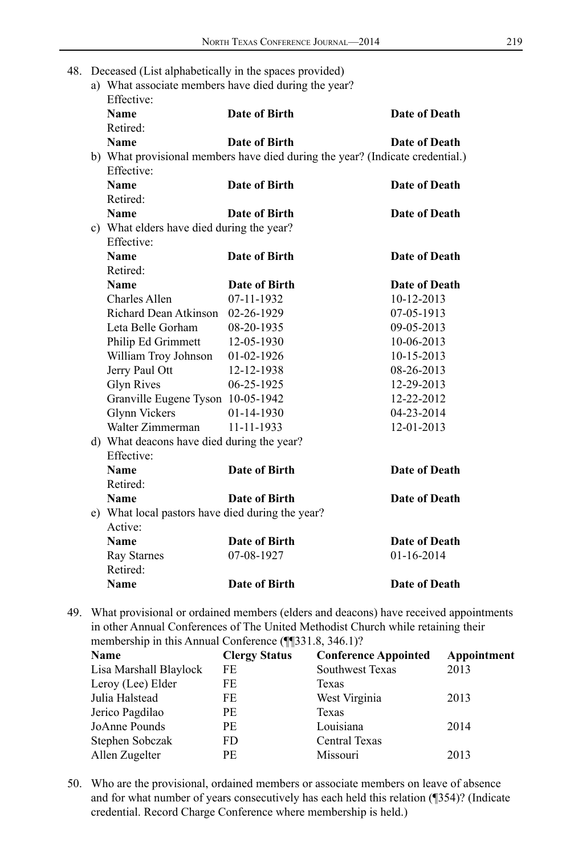- 48. Deceased (List alphabetically in the spaces provided)
	- a) What associate members have died during the year?

| Effective:                                       |                                                                               |                      |
|--------------------------------------------------|-------------------------------------------------------------------------------|----------------------|
| Name                                             | Date of Birth                                                                 | Date of Death        |
| Retired:                                         |                                                                               |                      |
| Name                                             | Date of Birth                                                                 | Date of Death        |
|                                                  | b) What provisional members have died during the year? (Indicate credential.) |                      |
| Effective:                                       |                                                                               |                      |
| <b>Name</b>                                      | Date of Birth                                                                 | <b>Date of Death</b> |
| Retired:                                         |                                                                               |                      |
| Name                                             | Date of Birth                                                                 | Date of Death        |
| c) What elders have died during the year?        |                                                                               |                      |
| Effective:                                       |                                                                               |                      |
| <b>Name</b>                                      | Date of Birth                                                                 | Date of Death        |
| Retired:                                         |                                                                               |                      |
| <b>Name</b>                                      | Date of Birth                                                                 | Date of Death        |
| Charles Allen                                    | 07-11-1932                                                                    | 10-12-2013           |
| Richard Dean Atkinson 02-26-1929                 |                                                                               | 07-05-1913           |
| Leta Belle Gorham                                | 08-20-1935                                                                    | 09-05-2013           |
| Philip Ed Grimmett                               | 12-05-1930                                                                    | 10-06-2013           |
| William Troy Johnson                             | 01-02-1926                                                                    | 10-15-2013           |
| Jerry Paul Ott                                   | 12-12-1938                                                                    | 08-26-2013           |
| <b>Glyn Rives</b>                                | $06 - 25 - 1925$                                                              | 12-29-2013           |
| Granville Eugene Tyson 10-05-1942                |                                                                               | 12-22-2012           |
| <b>Glynn Vickers</b>                             | 01-14-1930                                                                    | 04-23-2014           |
| Walter Zimmerman                                 | 11-11-1933                                                                    | 12-01-2013           |
| d) What deacons have died during the year?       |                                                                               |                      |
| Effective:                                       |                                                                               |                      |
| Name                                             | <b>Date of Birth</b>                                                          | <b>Date of Death</b> |
| Retired:                                         |                                                                               |                      |
| Name                                             | Date of Birth                                                                 | Date of Death        |
| e) What local pastors have died during the year? |                                                                               |                      |
| Active:                                          |                                                                               |                      |
| <b>Name</b>                                      | Date of Birth                                                                 | Date of Death        |
| Ray Starnes                                      | 07-08-1927                                                                    | 01-16-2014           |
| Retired:                                         |                                                                               |                      |
| Name                                             | Date of Birth                                                                 | Date of Death        |

49. What provisional or ordained members (elders and deacons) have received appointments in other Annual Conferences of The United Methodist Church while retaining their membership in this Annual Conference (¶¶331.8, 346.1)?

| <b>Clergy Status</b> | <b>Conference Appointed</b> | Appointment |
|----------------------|-----------------------------|-------------|
| FE                   | Southwest Texas             | 2013        |
| FE                   | Texas                       |             |
| FE                   | West Virginia               | 2013        |
| PE                   | Texas                       |             |
| РE                   | Louisiana                   | 2014        |
| FD                   | Central Texas               |             |
| PE                   | Missouri                    | 2013        |
|                      |                             |             |

50. Who are the provisional, ordained members or associate members on leave of absence and for what number of years consecutively has each held this relation (¶354)? (Indicate credential. Record Charge Conference where membership is held.)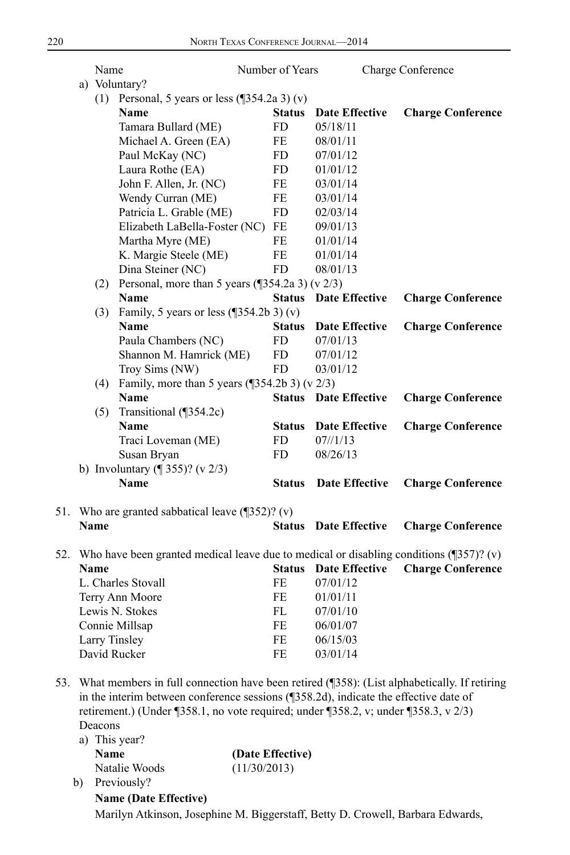|     | Name    |                                                                                                                                                                                                                                                                            | Number of Years |                              | Charge Conference |                          |
|-----|---------|----------------------------------------------------------------------------------------------------------------------------------------------------------------------------------------------------------------------------------------------------------------------------|-----------------|------------------------------|-------------------|--------------------------|
|     |         | a) Voluntary?                                                                                                                                                                                                                                                              |                 |                              |                   |                          |
|     |         | (1) Personal, 5 years or less $(\sqrt{354.2a 3})(v)$<br><b>Name</b>                                                                                                                                                                                                        | <b>Status</b>   | <b>Date Effective</b>        |                   | <b>Charge Conference</b> |
|     |         | Tamara Bullard (ME)                                                                                                                                                                                                                                                        | FD              | 05/18/11                     |                   |                          |
|     |         | Michael A. Green (EA)                                                                                                                                                                                                                                                      | FE              | 08/01/11                     |                   |                          |
|     |         | Paul McKay (NC)                                                                                                                                                                                                                                                            | FD              | 07/01/12                     |                   |                          |
|     |         | Laura Rothe (EA)                                                                                                                                                                                                                                                           | <b>FD</b>       | 01/01/12                     |                   |                          |
|     |         | John F. Allen, Jr. (NC)                                                                                                                                                                                                                                                    | FE              | 03/01/14                     |                   |                          |
|     |         | Wendy Curran (ME)                                                                                                                                                                                                                                                          | FE              | 03/01/14                     |                   |                          |
|     |         | Patricia L. Grable (ME)                                                                                                                                                                                                                                                    | <b>FD</b>       | 02/03/14                     |                   |                          |
|     |         | Elizabeth LaBella-Foster (NC)                                                                                                                                                                                                                                              | FE              | 09/01/13                     |                   |                          |
|     |         | Martha Myre (ME)                                                                                                                                                                                                                                                           | FE              | 01/01/14                     |                   |                          |
|     |         |                                                                                                                                                                                                                                                                            | FE              |                              |                   |                          |
|     |         | K. Margie Steele (ME)                                                                                                                                                                                                                                                      |                 | 01/01/14                     |                   |                          |
|     |         | Dina Steiner (NC)                                                                                                                                                                                                                                                          | <b>FD</b>       | 08/01/13                     |                   |                          |
|     |         | (2) Personal, more than 5 years $(\sqrt{354.2a} \cdot 3)$ (v 2/3)                                                                                                                                                                                                          |                 |                              |                   |                          |
|     |         | <b>Name</b>                                                                                                                                                                                                                                                                | <b>Status</b>   | <b>Date Effective</b>        |                   | <b>Charge Conference</b> |
|     |         | (3) Family, 5 years or less $(\sqrt{354.2b} \cdot 3)(v)$                                                                                                                                                                                                                   |                 |                              |                   |                          |
|     |         | <b>Name</b>                                                                                                                                                                                                                                                                | <b>Status</b>   | <b>Date Effective</b>        |                   | <b>Charge Conference</b> |
|     |         | Paula Chambers (NC)                                                                                                                                                                                                                                                        | FD              | 07/01/13                     |                   |                          |
|     |         | Shannon M. Hamrick (ME)                                                                                                                                                                                                                                                    | FD              | 07/01/12                     |                   |                          |
|     |         | Troy Sims (NW)                                                                                                                                                                                                                                                             | FD.             | 03/01/12                     |                   |                          |
|     | (4)     | Family, more than 5 years $(\sqrt{354.2b} \cdot 3)$ (v 2/3)                                                                                                                                                                                                                |                 |                              |                   |                          |
|     |         | <b>Name</b>                                                                                                                                                                                                                                                                |                 | <b>Status</b> Date Effective |                   | <b>Charge Conference</b> |
|     | (5)     | Transitional (¶354.2c)                                                                                                                                                                                                                                                     |                 |                              |                   |                          |
|     |         | <b>Name</b>                                                                                                                                                                                                                                                                | <b>Status</b>   | <b>Date Effective</b>        |                   | <b>Charge Conference</b> |
|     |         | Traci Loveman (ME)                                                                                                                                                                                                                                                         | FD              | $07\frac{\text{1}}{13}$      |                   |                          |
|     |         | Susan Bryan                                                                                                                                                                                                                                                                | FD.             | 08/26/13                     |                   |                          |
|     |         | b) Involuntary $(\sqrt{9} 355)$ ? (v 2/3)                                                                                                                                                                                                                                  |                 |                              |                   |                          |
|     |         | Name                                                                                                                                                                                                                                                                       | <b>Status</b>   | Date Effective               |                   | <b>Charge Conference</b> |
| 51. |         | Who are granted sabbatical leave $(\sqrt{352})$ ? (v)                                                                                                                                                                                                                      |                 |                              |                   |                          |
|     | Name    |                                                                                                                                                                                                                                                                            | <b>Status</b>   | <b>Date Effective</b>        |                   | <b>Charge Conference</b> |
| 52. |         | Who have been granted medical leave due to medical or disabling conditions $(9357)$ ? (v)                                                                                                                                                                                  |                 |                              |                   |                          |
|     | Name    |                                                                                                                                                                                                                                                                            | Status          | <b>Date Effective</b>        |                   | <b>Charge Conference</b> |
|     |         | L. Charles Stovall                                                                                                                                                                                                                                                         | FE              | 07/01/12                     |                   |                          |
|     |         | Terry Ann Moore                                                                                                                                                                                                                                                            | FE              | 01/01/11                     |                   |                          |
|     |         | Lewis N. Stokes                                                                                                                                                                                                                                                            | FL              | 07/01/10                     |                   |                          |
|     |         | Connie Millsap                                                                                                                                                                                                                                                             | <b>FE</b>       | 06/01/07                     |                   |                          |
|     |         | Larry Tinsley                                                                                                                                                                                                                                                              | FE              | 06/15/03                     |                   |                          |
|     |         | David Rucker                                                                                                                                                                                                                                                               | FE              | 03/01/14                     |                   |                          |
|     |         |                                                                                                                                                                                                                                                                            |                 |                              |                   |                          |
| 53. | Deacons | What members in full connection have been retired (¶358): (List alphabetically. If retiring<br>in the interim between conference sessions (¶358.2d), indicate the effective date of<br>retirement.) (Under ¶358.1, no vote required; under ¶358.2, v; under ¶358.3, v 2/3) |                 |                              |                   |                          |

|    | a) This year? |                  |  |  |  |
|----|---------------|------------------|--|--|--|
|    | <b>Name</b>   | (Date Effective) |  |  |  |
|    | Natalie Woods | (11/30/2013)     |  |  |  |
| b) | Previously?   |                  |  |  |  |

**Name (Date Effective)** Marilyn Atkinson, Josephine M. Biggerstaff, Betty D. Crowell, Barbara Edwards,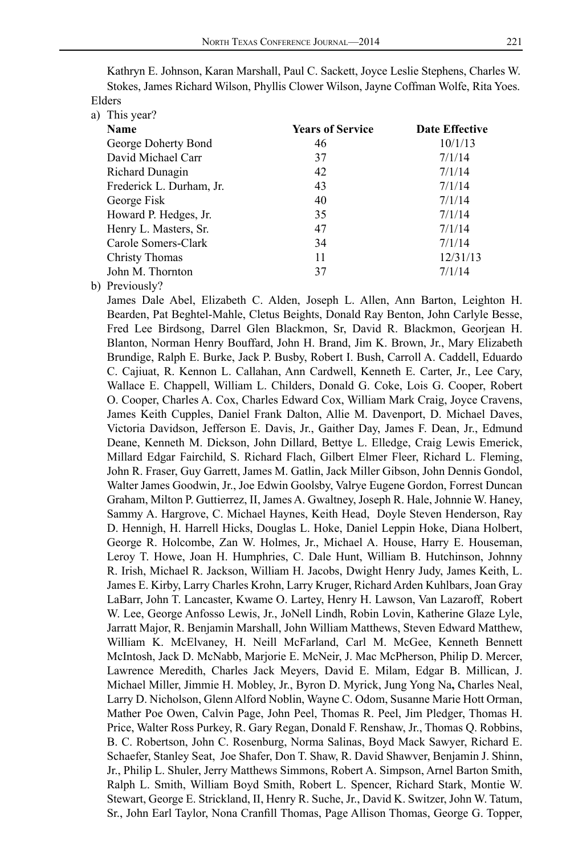| a) This year?            |                         |                       |
|--------------------------|-------------------------|-----------------------|
| <b>Name</b>              | <b>Years of Service</b> | <b>Date Effective</b> |
| George Doherty Bond      | 46                      | 10/1/13               |
| David Michael Carr       | 37                      | 7/1/14                |
| Richard Dunagin          | 42                      | 7/1/14                |
| Frederick L. Durham, Jr. | 43                      | 7/1/14                |
| George Fisk              | 40                      | 7/1/14                |
| Howard P. Hedges, Jr.    | 35                      | 7/1/14                |
| Henry L. Masters, Sr.    | 47                      | 7/1/14                |
| Carole Somers-Clark      | 34                      | 7/1/14                |
| Christy Thomas           | 11                      | 12/31/13              |
| John M. Thornton         | 37                      | 7/1/14                |
|                          |                         |                       |

Kathryn E. Johnson, Karan Marshall, Paul C. Sackett, Joyce Leslie Stephens, Charles W. Stokes, James Richard Wilson, Phyllis Clower Wilson, Jayne Coffman Wolfe, Rita Yoes. Elders

b) Previously?

James Dale Abel, Elizabeth C. Alden, Joseph L. Allen, Ann Barton, Leighton H. Bearden, Pat Beghtel-Mahle, Cletus Beights, Donald Ray Benton, John Carlyle Besse, Fred Lee Birdsong, Darrel Glen Blackmon, Sr, David R. Blackmon, Georjean H. Blanton, Norman Henry Bouffard, John H. Brand, Jim K. Brown, Jr., Mary Elizabeth Brundige, Ralph E. Burke, Jack P. Busby, Robert I. Bush, Carroll A. Caddell, Eduardo C. Cajiuat, R. Kennon L. Callahan, Ann Cardwell, Kenneth E. Carter, Jr., Lee Cary, Wallace E. Chappell, William L. Childers, Donald G. Coke, Lois G. Cooper, Robert O. Cooper, Charles A. Cox, Charles Edward Cox, William Mark Craig, Joyce Cravens, James Keith Cupples, Daniel Frank Dalton, Allie M. Davenport, D. Michael Daves, Victoria Davidson, Jefferson E. Davis, Jr., Gaither Day, James F. Dean, Jr., Edmund Deane, Kenneth M. Dickson, John Dillard, Bettye L. Elledge, Craig Lewis Emerick, Millard Edgar Fairchild, S. Richard Flach, Gilbert Elmer Fleer, Richard L. Fleming, John R. Fraser, Guy Garrett, James M. Gatlin, Jack Miller Gibson, John Dennis Gondol, Walter James Goodwin, Jr., Joe Edwin Goolsby, Valrye Eugene Gordon, Forrest Duncan Graham, Milton P. Guttierrez, II, James A. Gwaltney, Joseph R. Hale, Johnnie W. Haney, Sammy A. Hargrove, C. Michael Haynes, Keith Head, Doyle Steven Henderson, Ray D. Hennigh, H. Harrell Hicks, Douglas L. Hoke, Daniel Leppin Hoke, Diana Holbert, George R. Holcombe, Zan W. Holmes, Jr., Michael A. House, Harry E. Houseman, Leroy T. Howe, Joan H. Humphries, C. Dale Hunt, William B. Hutchinson, Johnny R. Irish, Michael R. Jackson, William H. Jacobs, Dwight Henry Judy, James Keith, L. James E. Kirby, Larry Charles Krohn, Larry Kruger, Richard Arden Kuhlbars, Joan Gray LaBarr, John T. Lancaster, Kwame O. Lartey, Henry H. Lawson, Van Lazaroff, Robert W. Lee, George Anfosso Lewis, Jr., JoNell Lindh, Robin Lovin, Katherine Glaze Lyle, Jarratt Major, R. Benjamin Marshall, John William Matthews, Steven Edward Matthew, William K. McElvaney, H. Neill McFarland, Carl M. McGee, Kenneth Bennett McIntosh, Jack D. McNabb, Marjorie E. McNeir, J. Mac McPherson, Philip D. Mercer, Lawrence Meredith, Charles Jack Meyers, David E. Milam, Edgar B. Millican, J. Michael Miller, Jimmie H. Mobley, Jr., Byron D. Myrick, Jung Yong Na**,** Charles Neal, Larry D. Nicholson, Glenn Alford Noblin, Wayne C. Odom, Susanne Marie Hott Orman, Mather Poe Owen, Calvin Page, John Peel, Thomas R. Peel, Jim Pledger, Thomas H. Price, Walter Ross Purkey, R. Gary Regan, Donald F. Renshaw, Jr., Thomas Q. Robbins, B. C. Robertson, John C. Rosenburg, Norma Salinas, Boyd Mack Sawyer, Richard E. Schaefer, Stanley Seat, Joe Shafer, Don T. Shaw, R. David Shawver, Benjamin J. Shinn, Jr., Philip L. Shuler, Jerry Matthews Simmons, Robert A. Simpson, Arnel Barton Smith, Ralph L. Smith, William Boyd Smith, Robert L. Spencer, Richard Stark, Montie W. Stewart, George E. Strickland, II, Henry R. Suche, Jr., David K. Switzer, John W. Tatum, Sr., John Earl Taylor, Nona Cranfill Thomas, Page Allison Thomas, George G. Topper,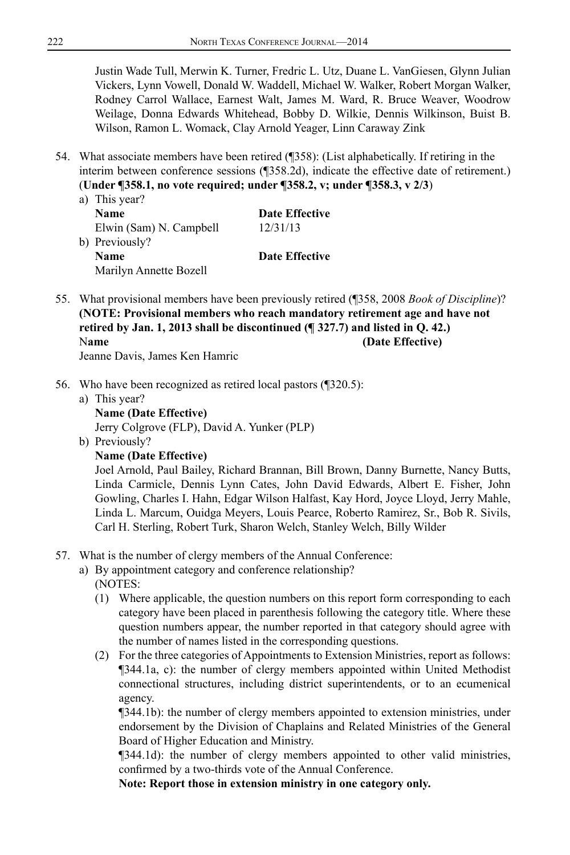Justin Wade Tull, Merwin K. Turner, Fredric L. Utz, Duane L. VanGiesen, Glynn Julian Vickers, Lynn Vowell, Donald W. Waddell, Michael W. Walker, Robert Morgan Walker, Rodney Carrol Wallace, Earnest Walt, James M. Ward, R. Bruce Weaver, Woodrow Weilage, Donna Edwards Whitehead, Bobby D. Wilkie, Dennis Wilkinson, Buist B. Wilson, Ramon L. Womack, Clay Arnold Yeager, Linn Caraway Zink

- 54. What associate members have been retired (¶358): (List alphabetically. If retiring in the interim between conference sessions (¶358.2d), indicate the effective date of retirement.) (**Under ¶358.1, no vote required; under ¶358.2, v; under ¶358.3, v 2/3**)
	- a) This year? **Name Date Effective** Elwin (Sam) N. Campbell 12/31/13 b) Previously? **Name Date Effective** Marilyn Annette Bozell
- 55. What provisional members have been previously retired (¶358, 2008 *Book of Discipline*)? **(NOTE: Provisional members who reach mandatory retirement age and have not retired by Jan. 1, 2013 shall be discontinued (¶ 327.7) and listed in Q. 42.)** Name (Date Effective) Jeanne Davis, James Ken Hamric
- 56. Who have been recognized as retired local pastors (¶320.5):
	- a) This year? **Name (Date Effective)**

Jerry Colgrove (FLP), David A. Yunker (PLP)

- b) Previously?
	- **Name (Date Effective)**

Joel Arnold, Paul Bailey, Richard Brannan, Bill Brown, Danny Burnette, Nancy Butts, Linda Carmicle, Dennis Lynn Cates, John David Edwards, Albert E. Fisher, John Gowling, Charles I. Hahn, Edgar Wilson Halfast, Kay Hord, Joyce Lloyd, Jerry Mahle, Linda L. Marcum, Ouidga Meyers, Louis Pearce, Roberto Ramirez, Sr., Bob R. Sivils, Carl H. Sterling, Robert Turk, Sharon Welch, Stanley Welch, Billy Wilder

## 57. What is the number of clergy members of the Annual Conference:

- a) By appointment category and conference relationship?
	- (NOTES:
	- (1) Where applicable, the question numbers on this report form corresponding to each category have been placed in parenthesis following the category title. Where these question numbers appear, the number reported in that category should agree with the number of names listed in the corresponding questions.
	- (2) For the three categories of Appointments to Extension Ministries, report as follows: ¶344.1a, c): the number of clergy members appointed within United Methodist connectional structures, including district superintendents, or to an ecumenical agency.

¶344.1b): the number of clergy members appointed to extension ministries, under endorsement by the Division of Chaplains and Related Ministries of the General Board of Higher Education and Ministry.

¶344.1d): the number of clergy members appointed to other valid ministries, confirmed by a two-thirds vote of the Annual Conference.

**Note: Report those in extension ministry in one category only.**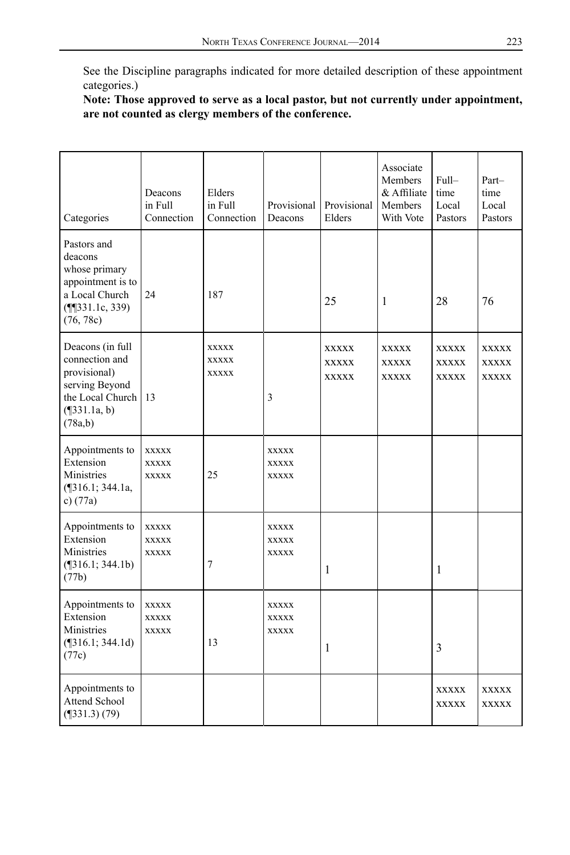See the Discipline paragraphs indicated for more detailed description of these appointment categories.)

**Note: Those approved to serve as a local pastor, but not currently under appointment, are not counted as clergy members of the conference.**

| Categories                                                                                                             | Deacons<br>in Full<br>Connection             | Elders<br>in Full<br>Connection              | Provisional<br>Deacons                       | Provisional<br>Elders                 | Associate<br>Members<br>& Affiliate<br>Members<br>With Vote | $Full-$<br>time<br>Local<br>Pastors   | Part-<br>time<br>Local<br>Pastors     |
|------------------------------------------------------------------------------------------------------------------------|----------------------------------------------|----------------------------------------------|----------------------------------------------|---------------------------------------|-------------------------------------------------------------|---------------------------------------|---------------------------------------|
| Pastors and<br>deacons<br>whose primary<br>appointment is to<br>a Local Church<br>$(\P\P_331.1c, 339)$<br>(76, 78c)    | 24                                           | 187                                          |                                              | 25                                    | 1                                                           | 28                                    | 76                                    |
| Deacons (in full<br>connection and<br>provisional)<br>serving Beyond<br>the Local Church<br>$($ [331.1a, b)<br>(78a,b) | 13                                           | <b>XXXXX</b><br><b>XXXXX</b><br><b>XXXXX</b> | $\overline{3}$                               | <b>XXXXX</b><br>XXXXX<br><b>XXXXX</b> | XXXXX<br><b>XXXXX</b><br><b>XXXXX</b>                       | XXXXX<br><b>XXXXX</b><br><b>XXXXX</b> | XXXXX<br><b>XXXXX</b><br><b>XXXXX</b> |
| Appointments to<br>Extension<br>Ministries<br>$($ [316.1; 344.1a,<br>c) $(77a)$                                        | <b>XXXXX</b><br><b>XXXXX</b><br><b>XXXXX</b> | 25                                           | <b>XXXXX</b><br><b>XXXXX</b><br><b>XXXXX</b> |                                       |                                                             |                                       |                                       |
| Appointments to<br>Extension<br>Ministries<br>$($ [316.1; 344.1b)<br>(77b)                                             | <b>XXXXX</b><br><b>XXXXX</b><br><b>XXXXX</b> | 7                                            | <b>XXXXX</b><br>XXXXX<br><b>XXXXX</b>        | 1                                     |                                                             | 1                                     |                                       |
| Appointments to<br>Extension<br>Ministries<br>$(\P316.1; 344.1d)$<br>(77c)                                             | XXXXX<br><b>XXXXX</b><br><b>XXXXX</b>        | 13                                           | <b>XXXXX</b><br><b>XXXXX</b><br><b>XXXXX</b> | 1                                     |                                                             | 3                                     |                                       |
| Appointments to<br>Attend School<br>$($ [331.3) $(79)$                                                                 |                                              |                                              |                                              |                                       |                                                             | <b>XXXXX</b><br><b>XXXXX</b>          | <b>XXXXX</b><br><b>XXXXX</b>          |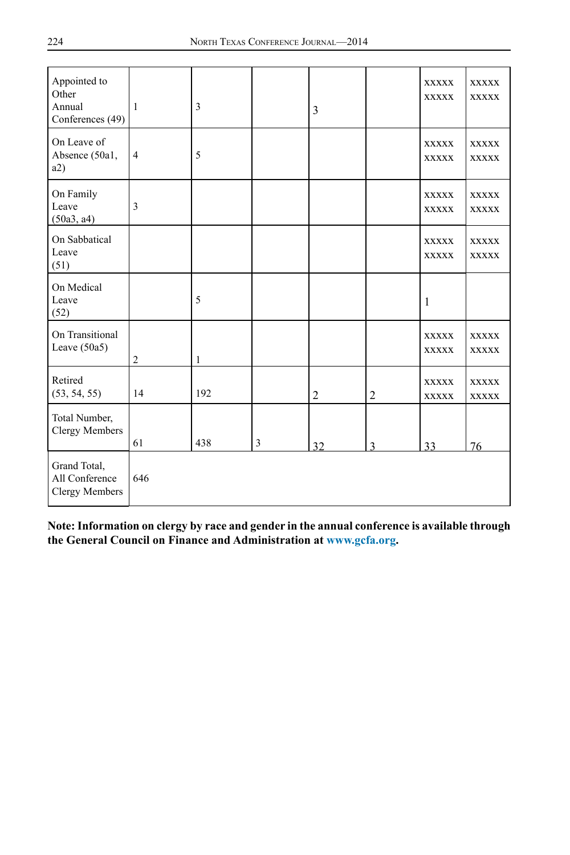| Appointed to<br>Other<br>Annual<br>Conferences (49) | 1              | 3   |   | 3              |                | <b>XXXXX</b><br><b>XXXXX</b> | <b>XXXXX</b><br><b>XXXXX</b> |
|-----------------------------------------------------|----------------|-----|---|----------------|----------------|------------------------------|------------------------------|
| On Leave of<br>Absence (50a1,<br>a2)                | $\overline{4}$ | 5   |   |                |                | <b>XXXXX</b><br><b>XXXXX</b> | <b>XXXXX</b><br><b>XXXXX</b> |
| On Family<br>Leave<br>(50a3, a4)                    | 3              |     |   |                |                | <b>XXXXX</b><br><b>XXXXX</b> | <b>XXXXX</b><br><b>XXXXX</b> |
| On Sabbatical<br>Leave<br>(51)                      |                |     |   |                |                | <b>XXXXX</b><br><b>XXXXX</b> | <b>XXXXX</b><br><b>XXXXX</b> |
| On Medical<br>Leave<br>(52)                         |                | 5   |   |                |                | 1                            |                              |
| On Transitional<br>Leave $(50a5)$                   | $\overline{c}$ | 1   |   |                |                | <b>XXXXX</b><br><b>XXXXX</b> | <b>XXXXX</b><br><b>XXXXX</b> |
| Retired<br>(53, 54, 55)                             | 14             | 192 |   | $\overline{c}$ | $\overline{2}$ | <b>XXXXX</b><br><b>XXXXX</b> | <b>XXXXX</b><br><b>XXXXX</b> |
| Total Number,<br>Clergy Members                     | 61             | 438 | 3 | 32             | $\mathbf{3}$   | 33                           | 76                           |
| Grand Total,<br>All Conference<br>Clergy Members    | 646            |     |   |                |                |                              |                              |

**Note: Information on clergy by race and gender in the annual conference is available through the General Council on Finance and Administration at [www.gcfa.org.](http://www.gcfa.org)**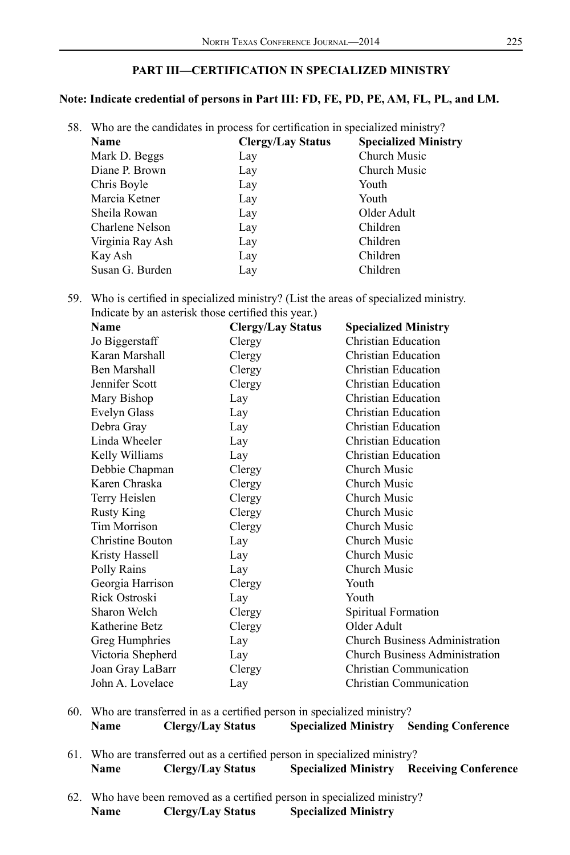## **PART III—CERTIFICATION IN SPECIALIZED MINISTRY**

### **Note: Indicate credential of persons in Part III: FD, FE, PD, PE, AM, FL, PL, and LM.**

| 58. Who are the candidates in process for certification in specialized ministry? |                          |                             |  |  |  |
|----------------------------------------------------------------------------------|--------------------------|-----------------------------|--|--|--|
| Name                                                                             | <b>Clergy/Lay Status</b> | <b>Specialized Ministry</b> |  |  |  |
| Mark D. Beggs                                                                    | Lay                      | Church Music                |  |  |  |
| Diane P. Brown                                                                   | Lay                      | Church Music                |  |  |  |
| Chris Boyle                                                                      | Lay                      | Youth                       |  |  |  |
| Marcia Ketner                                                                    | Lay                      | Youth                       |  |  |  |
| Sheila Rowan                                                                     | Lay                      | Older Adult                 |  |  |  |
| Charlene Nelson                                                                  | Lay                      | Children                    |  |  |  |
| Virginia Ray Ash                                                                 | Lay                      | Children                    |  |  |  |
| Kay Ash                                                                          | Lay                      | Children                    |  |  |  |
| Susan G. Burden                                                                  | Lay                      | Children                    |  |  |  |
|                                                                                  |                          |                             |  |  |  |

59. Who is certified in specialized ministry? (List the areas of specialized ministry. Indicate by an asterisk those certified this year.)

| <b>Name</b>       | <b>Clergy/Lay Status</b> | <b>Specialized Ministry</b>           |
|-------------------|--------------------------|---------------------------------------|
| Jo Biggerstaff    | Clergy                   | Christian Education                   |
| Karan Marshall    | Clergy                   | Christian Education                   |
| Ben Marshall      | Clergy                   | <b>Christian Education</b>            |
| Jennifer Scott    | Clergy                   | <b>Christian Education</b>            |
| Mary Bishop       | Lay                      | <b>Christian Education</b>            |
| Evelyn Glass      | Lay                      | <b>Christian Education</b>            |
| Debra Gray        | Lay                      | Christian Education                   |
| Linda Wheeler     | Lay                      | <b>Christian Education</b>            |
| Kelly Williams    | Lay                      | Christian Education                   |
| Debbie Chapman    | Clergy                   | Church Music                          |
| Karen Chraska     | Clergy                   | Church Music                          |
| Terry Heislen     | Clergy                   | Church Music                          |
| <b>Rusty King</b> | Clergy                   | Church Music                          |
| Tim Morrison      | Clergy                   | Church Music                          |
| Christine Bouton  | Lay                      | Church Music                          |
| Kristy Hassell    | Lay                      | Church Music                          |
| Polly Rains       | Lay                      | Church Music                          |
| Georgia Harrison  | Clergy                   | Youth                                 |
| Rick Ostroski     | Lay                      | Youth                                 |
| Sharon Welch      | Clergy                   | Spiritual Formation                   |
| Katherine Betz    | Clergy                   | Older Adult                           |
| Greg Humphries    | Lay                      | <b>Church Business Administration</b> |
| Victoria Shepherd | Lay                      | <b>Church Business Administration</b> |
| Joan Gray LaBarr  | Clergy                   | <b>Christian Communication</b>        |
| John A. Lovelace  | Lay                      | Christian Communication               |
|                   |                          |                                       |

- 60. Who are transferred in as a certified person in specialized ministry?<br>Name Clergy/Lay Status Specialized Ministry S **Name Clergy/Lay Status Specialized Ministry Sending Conference**
- 61. Who are transferred out as a certified person in specialized ministry? **Name Clergy/Lay Status Specialized Ministry Receiving Conference**
- 62. Who have been removed as a certified person in specialized ministry? **Name Clergy/Lay Status Specialized Ministry**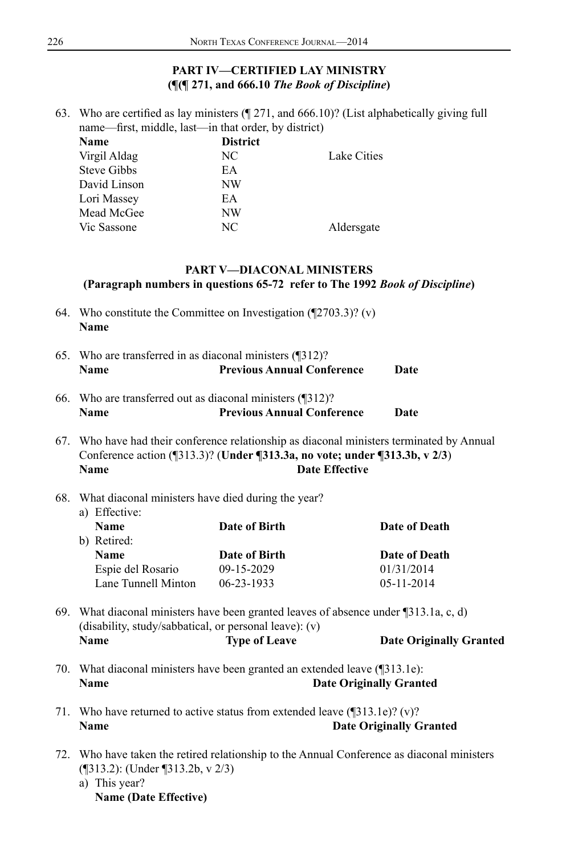# **PART IV—CERTIFIED LAY MINISTRY (¶(¶ 271, and 666.10** *The Book of Discipline***)**

63. Who are certified as lay ministers (¶ 271, and 666.10)? (List alphabetically giving full name—first, middle, last—in that order, by district)

| Name               | <b>District</b> |             |
|--------------------|-----------------|-------------|
| Virgil Aldag       | NC              | Lake Cities |
| <b>Steve Gibbs</b> | EA              |             |
| David Linson       | NW              |             |
| Lori Massey        | EA              |             |
| Mead McGee         | NW              |             |
| Vic Sassone        | NC              | Aldersgate  |
|                    |                 |             |

#### **PART V—DIACONAL MINISTERS (Paragraph numbers in questions 65-72 refer to The 1992** *Book of Discipline***)**

- 64. Who constitute the Committee on Investigation (¶2703.3)? (v) **Name**
- 65. Who are transferred in as diaconal ministers (¶312)? **Name Previous Annual Conference Date**
- 66. Who are transferred out as diaconal ministers (¶312)? **Name Previous Annual Conference Date**
- 67. Who have had their conference relationship as diaconal ministers terminated by Annual Conference action (¶313.3)? (**Under ¶313.3a, no vote; under ¶313.3b, v 2/3**) **Name Date Effective**

#### 68. What diaconal ministers have died during the year? a) Effective:

| u, <b>Lilveti</b> v. |                  |                  |  |  |  |  |  |
|----------------------|------------------|------------------|--|--|--|--|--|
| <b>Name</b>          | Date of Birth    | Date of Death    |  |  |  |  |  |
| b) Retired:          |                  |                  |  |  |  |  |  |
| <b>Name</b>          | Date of Birth    | Date of Death    |  |  |  |  |  |
| Espie del Rosario    | $09-15-2029$     | 01/31/2014       |  |  |  |  |  |
| Lane Tunnell Minton  | $06 - 23 - 1933$ | $05 - 11 - 2014$ |  |  |  |  |  |
|                      |                  |                  |  |  |  |  |  |

- 69. What diaconal ministers have been granted leaves of absence under ¶313.1a, c, d) (disability, study/sabbatical, or personal leave): (v) **Name Type of Leave Date Originally Granted**
- 70. What diaconal ministers have been granted an extended leave (¶313.1e): **Name Date Originally Granted**
- 71. Who have returned to active status from extended leave (¶313.1e)? (v)? **Name Date Originally Granted**
- 72. Who have taken the retired relationship to the Annual Conference as diaconal ministers (¶313.2): (Under ¶313.2b, v 2/3) a) This year?
	- **Name (Date Effective)**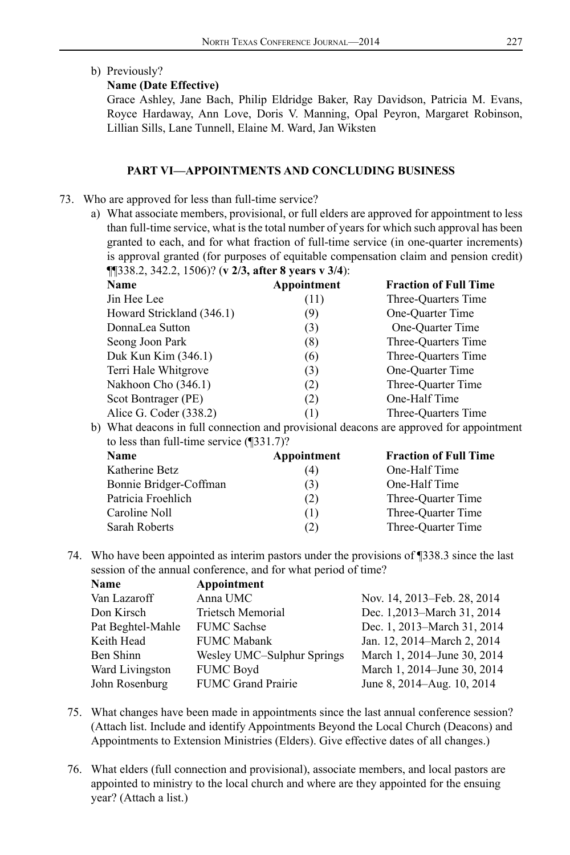b) Previously?

#### **Name (Date Effective)**

Grace Ashley, Jane Bach, Philip Eldridge Baker, Ray Davidson, Patricia M. Evans, Royce Hardaway, Ann Love, Doris V. Manning, Opal Peyron, Margaret Robinson, Lillian Sills, Lane Tunnell, Elaine M. Ward, Jan Wiksten

#### **PART VI—APPOINTMENTS AND CONCLUDING BUSINESS**

- 73. Who are approved for less than full-time service?
	- a) What associate members, provisional, or full elders are approved for appointment to less than full-time service, what is the total number of years for which such approval has been granted to each, and for what fraction of full-time service (in one-quarter increments) is approval granted (for purposes of equitable compensation claim and pension credit) ¶¶338.2, 342.2, 1506)? (**v 2/3, after 8 years v 3/4**):

| <b>Name</b>               | Appointment | <b>Fraction of Full Time</b> |
|---------------------------|-------------|------------------------------|
| Jin Hee Lee               | (11)        | Three-Ouarters Time          |
| Howard Strickland (346.1) | (9)         | One-Quarter Time             |
| DonnaLea Sutton           | (3)         | One-Quarter Time             |
| Seong Joon Park           | (8)         | Three-Ouarters Time          |
| Duk Kun Kim (346.1)       | (6)         | Three-Ouarters Time          |
| Terri Hale Whitgrove      | (3)         | One-Quarter Time             |
| Nakhoon Cho (346.1)       | (2)         | Three-Ouarter Time           |
| Scot Bontrager (PE)       | (2)         | One-Half Time                |
| Alice G. Coder (338.2)    | (1)         | Three-Ouarters Time          |

b) What deacons in full connection and provisional deacons are approved for appointment to less than full-time service (¶331.7)?

| <b>Name</b>            | Appointment | <b>Fraction of Full Time</b> |
|------------------------|-------------|------------------------------|
| Katherine Betz         | (4)         | One-Half Time                |
| Bonnie Bridger-Coffman | (3)         | One-Half Time                |
| Patricia Froehlich     | (2)         | Three-Ouarter Time           |
| Caroline Noll          | (1)         | Three-Ouarter Time           |
| Sarah Roberts          | (2)         | Three-Ouarter Time           |

74. Who have been appointed as interim pastors under the provisions of ¶338.3 since the last session of the annual conference, and for what period of time?

| <b>Name</b>       | Appointment                |                             |
|-------------------|----------------------------|-----------------------------|
| Van Lazaroff      | Anna UMC                   | Nov. 14, 2013–Feb. 28, 2014 |
| Don Kirsch        | Trietsch Memorial          | Dec. 1,2013–March 31, 2014  |
| Pat Beghtel-Mahle | <b>FUMC</b> Sachse         | Dec. 1, 2013–March 31, 2014 |
| Keith Head        | <b>FUMC Mabank</b>         | Jan. 12, 2014–March 2, 2014 |
| Ben Shinn         | Wesley UMC-Sulphur Springs | March 1, 2014–June 30, 2014 |
| Ward Livingston   | <b>FUMC Boyd</b>           | March 1, 2014–June 30, 2014 |
| John Rosenburg    | <b>FUMC Grand Prairie</b>  | June 8, 2014–Aug. 10, 2014  |
|                   |                            |                             |

- 75. What changes have been made in appointments since the last annual conference session? (Attach list. Include and identify Appointments Beyond the Local Church (Deacons) and Appointments to Extension Ministries (Elders). Give effective dates of all changes.)
- 76. What elders (full connection and provisional), associate members, and local pastors are appointed to ministry to the local church and where are they appointed for the ensuing year? (Attach a list.)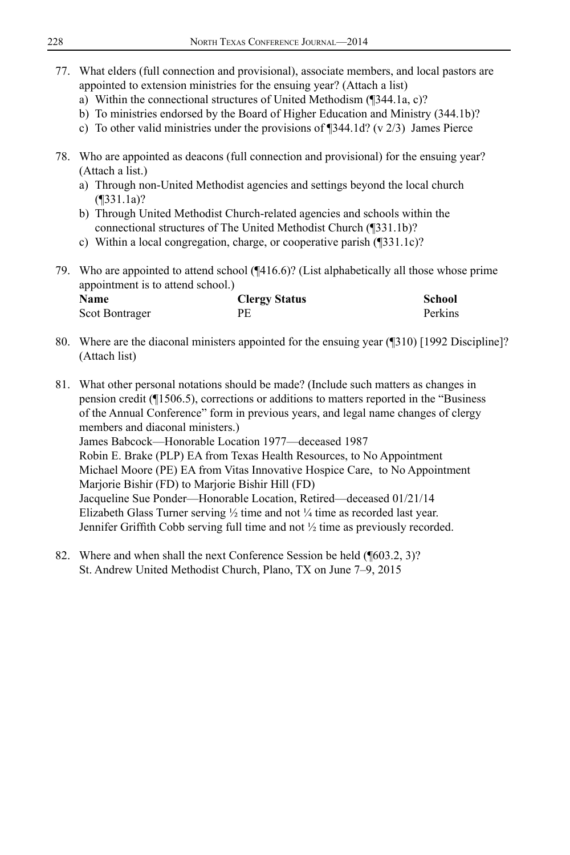- 77. What elders (full connection and provisional), associate members, and local pastors are appointed to extension ministries for the ensuing year? (Attach a list)
	- a) Within the connectional structures of United Methodism (¶344.1a, c)?
	- b) To ministries endorsed by the Board of Higher Education and Ministry (344.1b)?
	- c) To other valid ministries under the provisions of ¶344.1d? (v 2/3) James Pierce
- 78. Who are appointed as deacons (full connection and provisional) for the ensuing year? (Attach a list.)
	- a) Through non-United Methodist agencies and settings beyond the local church (¶331.1a)?
	- b) Through United Methodist Church-related agencies and schools within the connectional structures of The United Methodist Church (¶331.1b)?
	- c) Within a local congregation, charge, or cooperative parish (¶331.1c)?
- 79. Who are appointed to attend school (¶416.6)? (List alphabetically all those whose prime appointment is to attend school.)

| <b>Name</b>    | <b>Clergy Status</b> | School  |
|----------------|----------------------|---------|
| Scot Bontrager | PЕ                   | Perkins |

- 80. Where are the diaconal ministers appointed for the ensuing year (¶310) [1992 Discipline]? (Attach list)
- 81. What other personal notations should be made? (Include such matters as changes in pension credit (¶1506.5), corrections or additions to matters reported in the "Business of the Annual Conference" form in previous years, and legal name changes of clergy members and diaconal ministers.) James Babcock—Honorable Location 1977—deceased 1987 Robin E. Brake (PLP) EA from Texas Health Resources, to No Appointment Michael Moore (PE) EA from Vitas Innovative Hospice Care, to No Appointment Marjorie Bishir (FD) to Marjorie Bishir Hill (FD) Jacqueline Sue Ponder—Honorable Location, Retired—deceased 01/21/14 Elizabeth Glass Turner serving  $\frac{1}{2}$  time and not  $\frac{1}{4}$  time as recorded last year. Jennifer Griffith Cobb serving full time and not ½ time as previously recorded.
- 82. Where and when shall the next Conference Session be held (¶603.2, 3)? St. Andrew United Methodist Church, Plano, TX on June 7–9, 2015